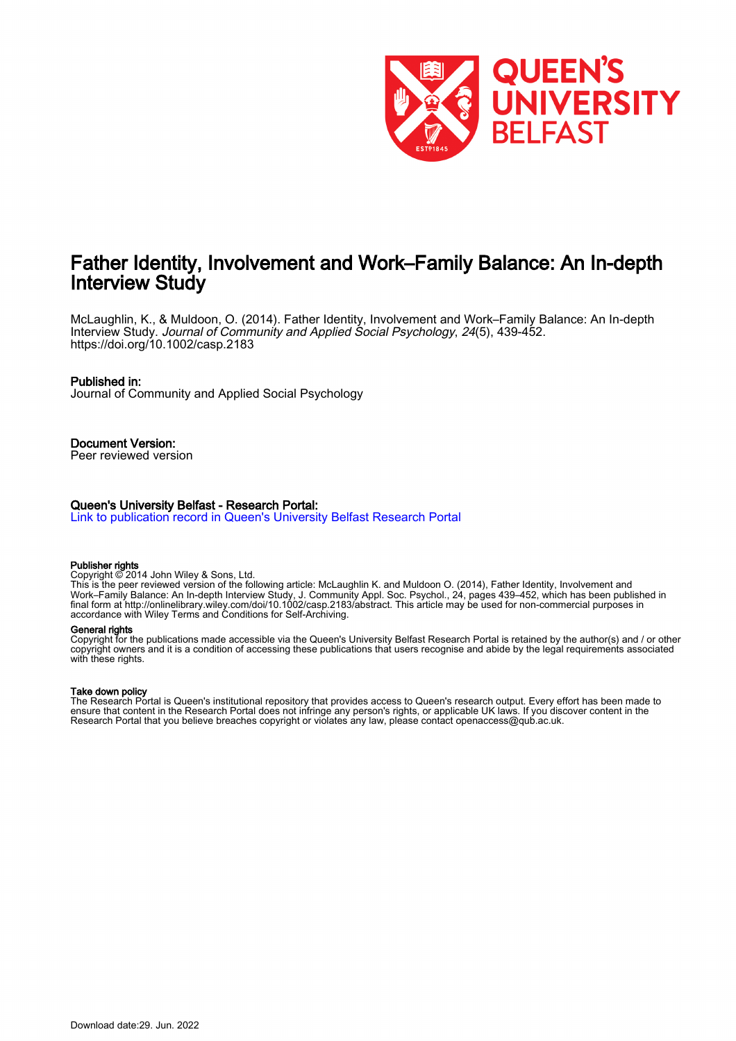

# Father Identity, Involvement and Work–Family Balance: An In-depth Interview Study

McLaughlin, K., & Muldoon, O. (2014). Father Identity, Involvement and Work–Family Balance: An In-depth Interview Study. Journal of Community and Applied Social Psychology, 24(5), 439-452. <https://doi.org/10.1002/casp.2183>

#### Published in:

Journal of Community and Applied Social Psychology

Document Version: Peer reviewed version

#### Queen's University Belfast - Research Portal:

[Link to publication record in Queen's University Belfast Research Portal](https://pure.qub.ac.uk/en/publications/50917dd2-5e45-4084-8d45-b9e151738e28)

#### Publisher rights

Copyright © 2014 John Wiley & Sons, Ltd.

This is the peer reviewed version of the following article: McLaughlin K. and Muldoon O. (2014), Father Identity, Involvement and Work–Family Balance: An In-depth Interview Study, J. Community Appl. Soc. Psychol., 24, pages 439–452, which has been published in final form at http://onlinelibrary.wiley.com/doi/10.1002/casp.2183/abstract. This article may be used for non-commercial purposes in accordance with Wiley Terms and Conditions for Self-Archiving.

#### General rights

Copyright for the publications made accessible via the Queen's University Belfast Research Portal is retained by the author(s) and / or other copyright owners and it is a condition of accessing these publications that users recognise and abide by the legal requirements associated with these rights.

#### Take down policy

The Research Portal is Queen's institutional repository that provides access to Queen's research output. Every effort has been made to ensure that content in the Research Portal does not infringe any person's rights, or applicable UK laws. If you discover content in the Research Portal that you believe breaches copyright or violates any law, please contact openaccess@qub.ac.uk.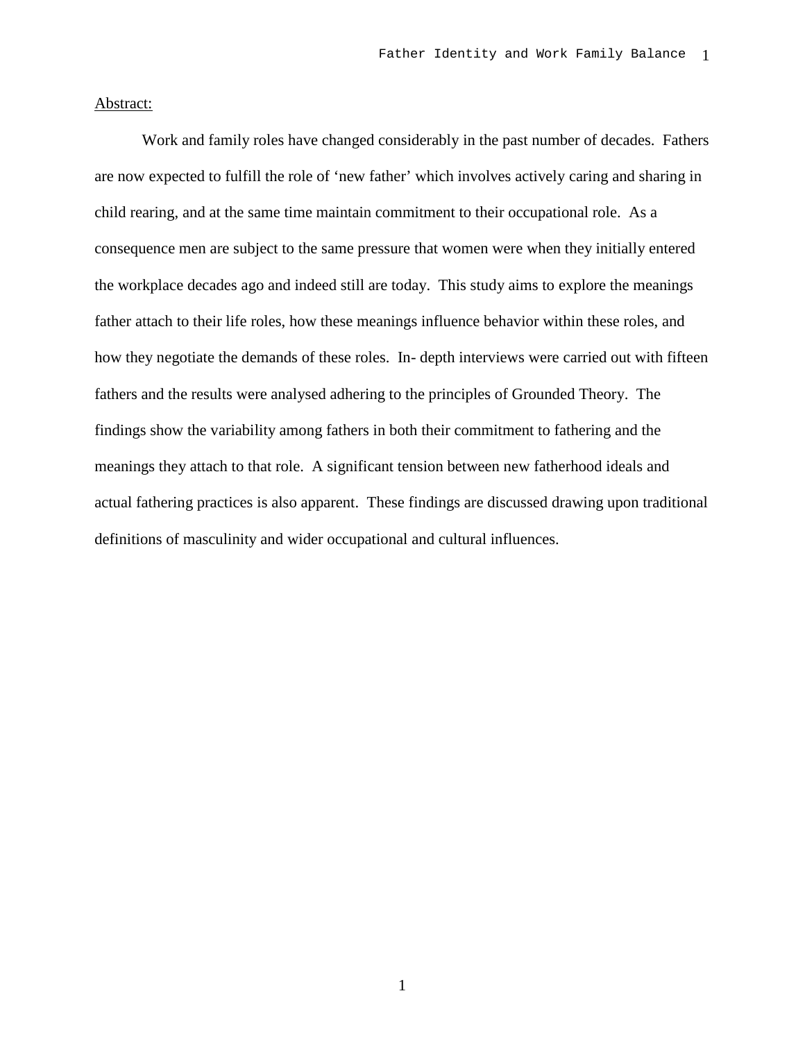### Abstract:

Work and family roles have changed considerably in the past number of decades. Fathers are now expected to fulfill the role of 'new father' which involves actively caring and sharing in child rearing, and at the same time maintain commitment to their occupational role. As a consequence men are subject to the same pressure that women were when they initially entered the workplace decades ago and indeed still are today. This study aims to explore the meanings father attach to their life roles, how these meanings influence behavior within these roles, and how they negotiate the demands of these roles. In- depth interviews were carried out with fifteen fathers and the results were analysed adhering to the principles of Grounded Theory. The findings show the variability among fathers in both their commitment to fathering and the meanings they attach to that role. A significant tension between new fatherhood ideals and actual fathering practices is also apparent. These findings are discussed drawing upon traditional definitions of masculinity and wider occupational and cultural influences.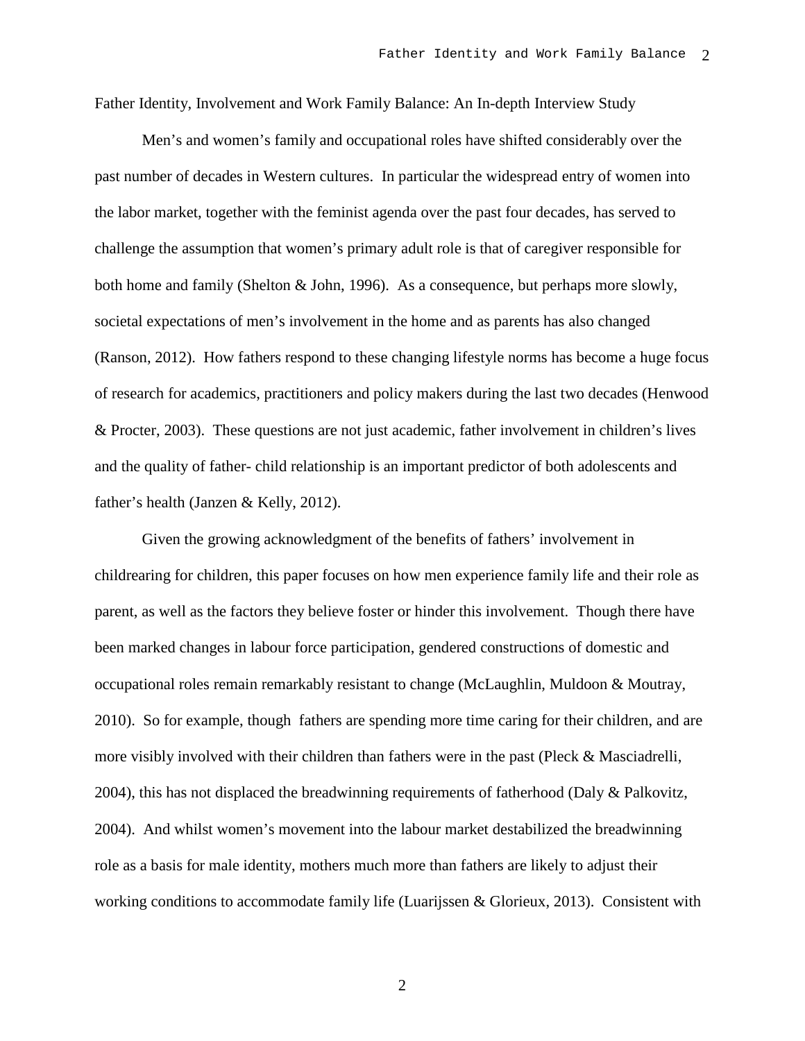Father Identity, Involvement and Work Family Balance: An In-depth Interview Study

Men's and women's family and occupational roles have shifted considerably over the past number of decades in Western cultures. In particular the widespread entry of women into the labor market, together with the feminist agenda over the past four decades, has served to challenge the assumption that women's primary adult role is that of caregiver responsible for both home and family (Shelton & John, 1996). As a consequence, but perhaps more slowly, societal expectations of men's involvement in the home and as parents has also changed (Ranson, 2012). How fathers respond to these changing lifestyle norms has become a huge focus of research for academics, practitioners and policy makers during the last two decades (Henwood & Procter, 2003). These questions are not just academic, father involvement in children's lives and the quality of father- child relationship is an important predictor of both adolescents and father's health (Janzen & Kelly, 2012).

Given the growing acknowledgment of the benefits of fathers' involvement in childrearing for children, this paper focuses on how men experience family life and their role as parent, as well as the factors they believe foster or hinder this involvement. Though there have been marked changes in labour force participation, gendered constructions of domestic and occupational roles remain remarkably resistant to change (McLaughlin, Muldoon & Moutray, 2010). So for example, though fathers are spending more time caring for their children, and are more visibly involved with their children than fathers were in the past (Pleck & Masciadrelli, 2004), this has not displaced the breadwinning requirements of fatherhood (Daly & Palkovitz, 2004). And whilst women's movement into the labour market destabilized the breadwinning role as a basis for male identity, mothers much more than fathers are likely to adjust their working conditions to accommodate family life (Luarijssen & Glorieux, 2013). Consistent with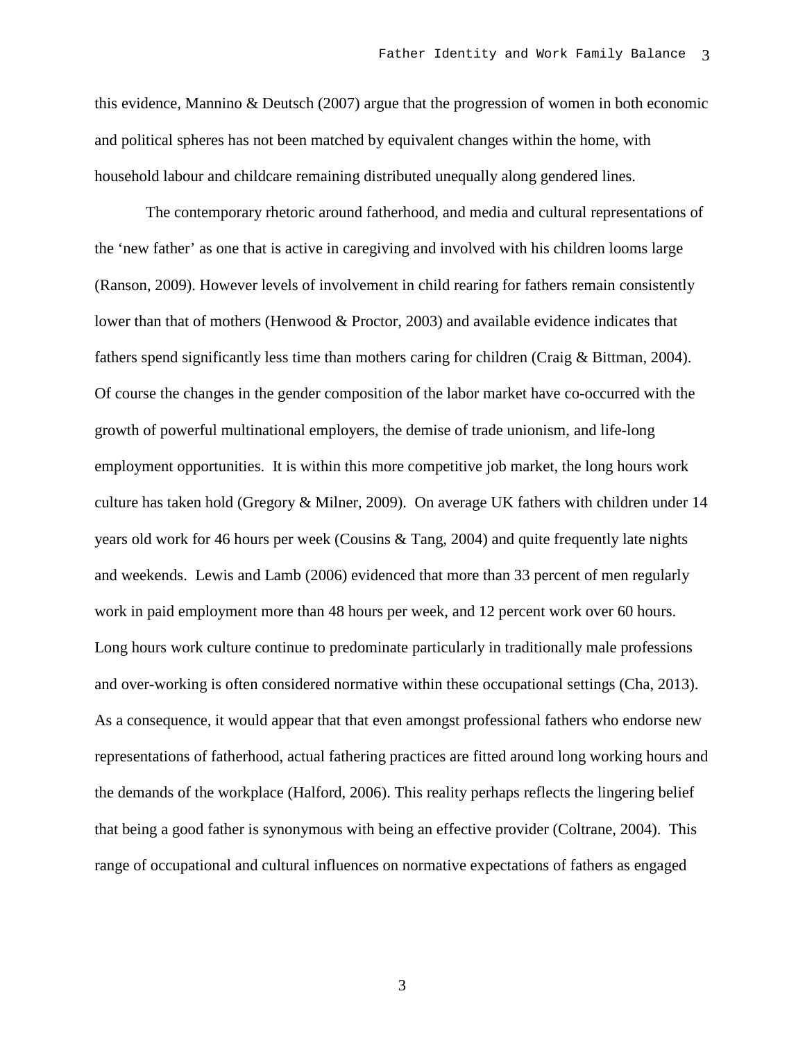this evidence, Mannino & Deutsch (2007) argue that the progression of women in both economic and political spheres has not been matched by equivalent changes within the home, with household labour and childcare remaining distributed unequally along gendered lines.

The contemporary rhetoric around fatherhood, and media and cultural representations of the 'new father' as one that is active in caregiving and involved with his children looms large (Ranson, 2009). However levels of involvement in child rearing for fathers remain consistently lower than that of mothers (Henwood & Proctor, 2003) and available evidence indicates that fathers spend significantly less time than mothers caring for children (Craig & Bittman, 2004). Of course the changes in the gender composition of the labor market have co-occurred with the growth of powerful multinational employers, the demise of trade unionism, and life-long employment opportunities. It is within this more competitive job market, the long hours work culture has taken hold (Gregory & Milner, 2009). On average UK fathers with children under 14 years old work for 46 hours per week (Cousins & Tang, 2004) and quite frequently late nights and weekends. Lewis and Lamb (2006) evidenced that more than 33 percent of men regularly work in paid employment more than 48 hours per week, and 12 percent work over 60 hours. Long hours work culture continue to predominate particularly in traditionally male professions and over-working is often considered normative within these occupational settings (Cha, 2013). As a consequence, it would appear that that even amongst professional fathers who endorse new representations of fatherhood, actual fathering practices are fitted around long working hours and the demands of the workplace (Halford, 2006). This reality perhaps reflects the lingering belief that being a good father is synonymous with being an effective provider (Coltrane, 2004). This range of occupational and cultural influences on normative expectations of fathers as engaged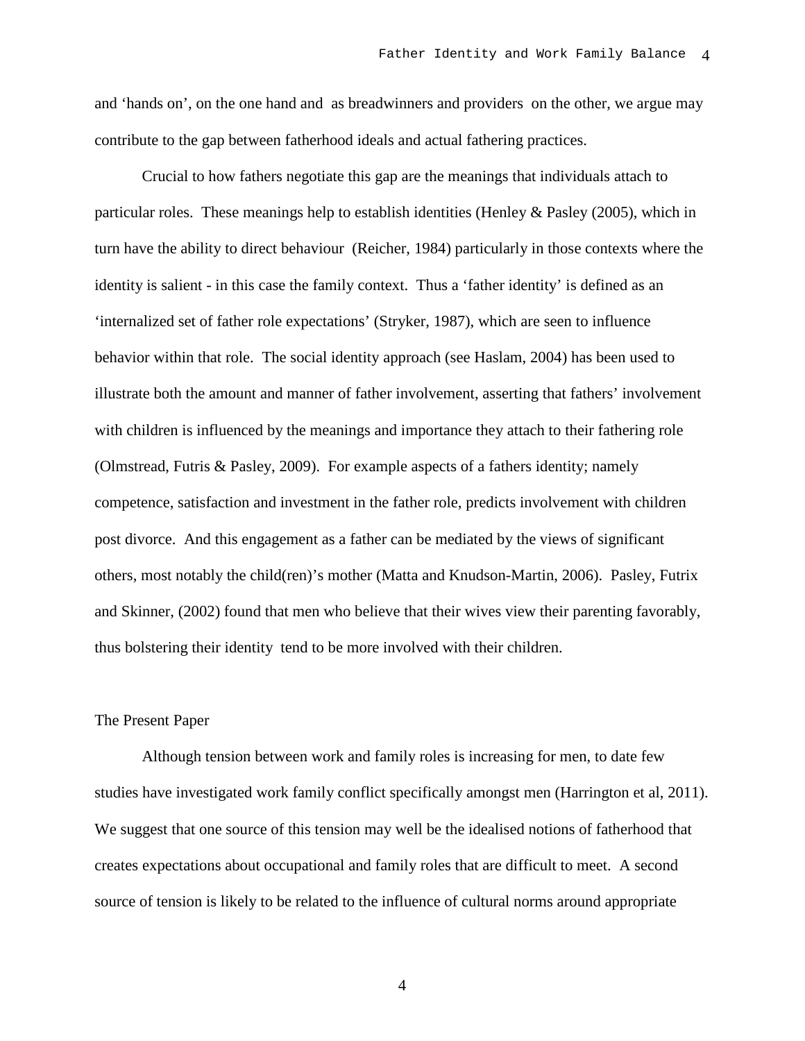and 'hands on', on the one hand and as breadwinners and providers on the other, we argue may contribute to the gap between fatherhood ideals and actual fathering practices.

Crucial to how fathers negotiate this gap are the meanings that individuals attach to particular roles. These meanings help to establish identities (Henley & Pasley (2005), which in turn have the ability to direct behaviour (Reicher, 1984) particularly in those contexts where the identity is salient - in this case the family context. Thus a 'father identity' is defined as an 'internalized set of father role expectations' (Stryker, 1987), which are seen to influence behavior within that role. The social identity approach (see Haslam, 2004) has been used to illustrate both the amount and manner of father involvement, asserting that fathers' involvement with children is influenced by the meanings and importance they attach to their fathering role (Olmstread, Futris & Pasley, 2009). For example aspects of a fathers identity; namely competence, satisfaction and investment in the father role, predicts involvement with children post divorce. And this engagement as a father can be mediated by the views of significant others, most notably the child(ren)'s mother (Matta and Knudson-Martin, 2006). Pasley, Futrix and Skinner, (2002) found that men who believe that their wives view their parenting favorably, thus bolstering their identity tend to be more involved with their children.

#### The Present Paper

Although tension between work and family roles is increasing for men, to date few studies have investigated work family conflict specifically amongst men (Harrington et al, 2011). We suggest that one source of this tension may well be the idealised notions of fatherhood that creates expectations about occupational and family roles that are difficult to meet. A second source of tension is likely to be related to the influence of cultural norms around appropriate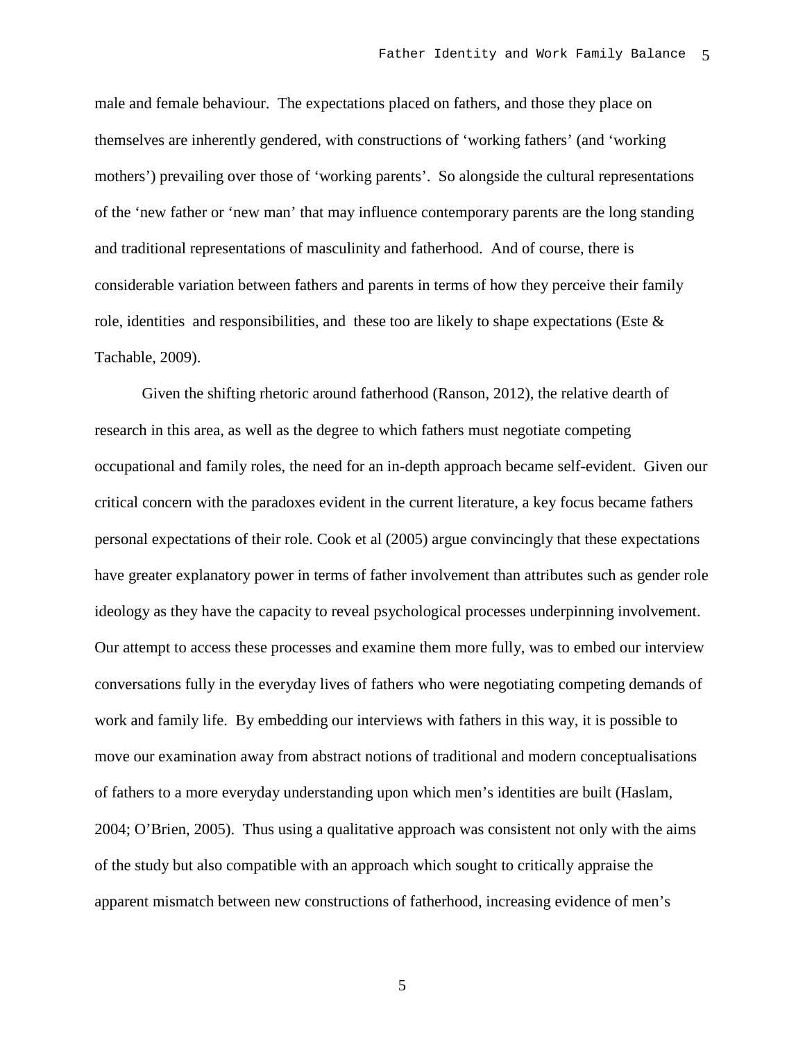male and female behaviour. The expectations placed on fathers, and those they place on themselves are inherently gendered, with constructions of 'working fathers' (and 'working mothers') prevailing over those of 'working parents'. So alongside the cultural representations of the 'new father or 'new man' that may influence contemporary parents are the long standing and traditional representations of masculinity and fatherhood. And of course, there is considerable variation between fathers and parents in terms of how they perceive their family role, identities and responsibilities, and these too are likely to shape expectations (Este  $\&$ Tachable, 2009).

Given the shifting rhetoric around fatherhood (Ranson, 2012), the relative dearth of research in this area, as well as the degree to which fathers must negotiate competing occupational and family roles, the need for an in-depth approach became self-evident. Given our critical concern with the paradoxes evident in the current literature, a key focus became fathers personal expectations of their role. Cook et al (2005) argue convincingly that these expectations have greater explanatory power in terms of father involvement than attributes such as gender role ideology as they have the capacity to reveal psychological processes underpinning involvement. Our attempt to access these processes and examine them more fully, was to embed our interview conversations fully in the everyday lives of fathers who were negotiating competing demands of work and family life. By embedding our interviews with fathers in this way, it is possible to move our examination away from abstract notions of traditional and modern conceptualisations of fathers to a more everyday understanding upon which men's identities are built (Haslam, 2004; O'Brien, 2005). Thus using a qualitative approach was consistent not only with the aims of the study but also compatible with an approach which sought to critically appraise the apparent mismatch between new constructions of fatherhood, increasing evidence of men's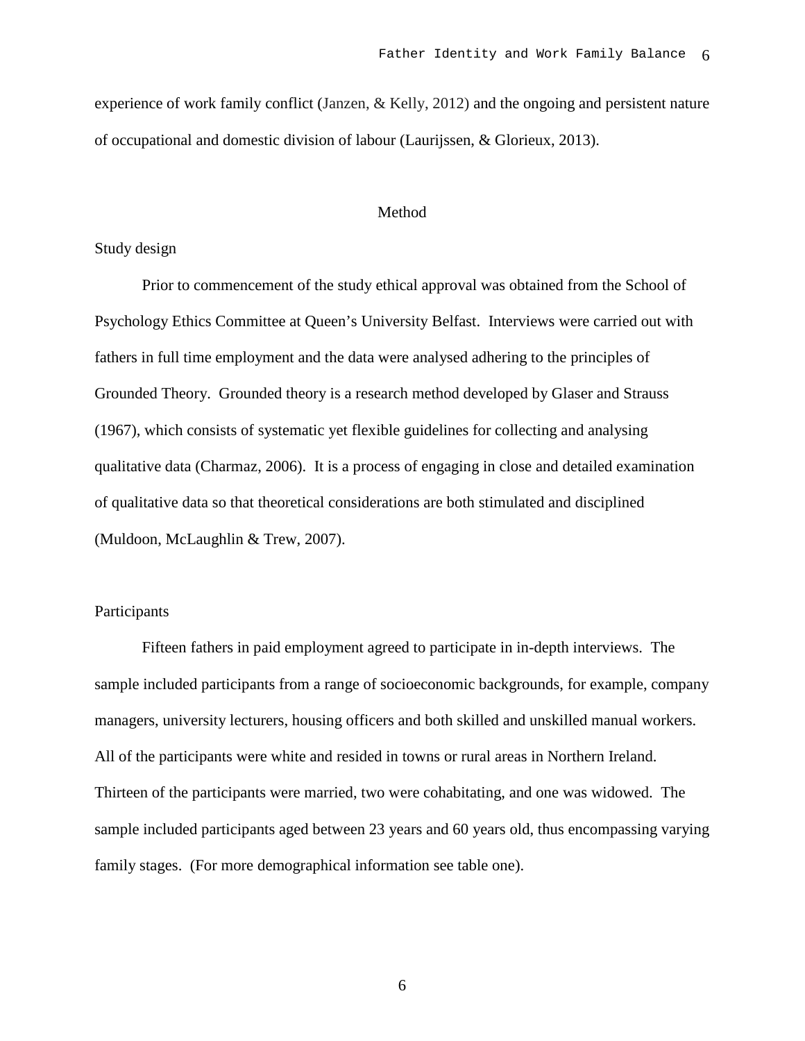experience of work family conflict (Janzen, & Kelly, 2012) and the ongoing and persistent nature of occupational and domestic division of labour (Laurijssen, & Glorieux, 2013).

### Method

#### Study design

Prior to commencement of the study ethical approval was obtained from the School of Psychology Ethics Committee at Queen's University Belfast. Interviews were carried out with fathers in full time employment and the data were analysed adhering to the principles of Grounded Theory. Grounded theory is a research method developed by Glaser and Strauss (1967), which consists of systematic yet flexible guidelines for collecting and analysing qualitative data (Charmaz, 2006). It is a process of engaging in close and detailed examination of qualitative data so that theoretical considerations are both stimulated and disciplined (Muldoon, McLaughlin & Trew, 2007).

# Participants

Fifteen fathers in paid employment agreed to participate in in-depth interviews. The sample included participants from a range of socioeconomic backgrounds, for example, company managers, university lecturers, housing officers and both skilled and unskilled manual workers. All of the participants were white and resided in towns or rural areas in Northern Ireland. Thirteen of the participants were married, two were cohabitating, and one was widowed. The sample included participants aged between 23 years and 60 years old, thus encompassing varying family stages. (For more demographical information see table one).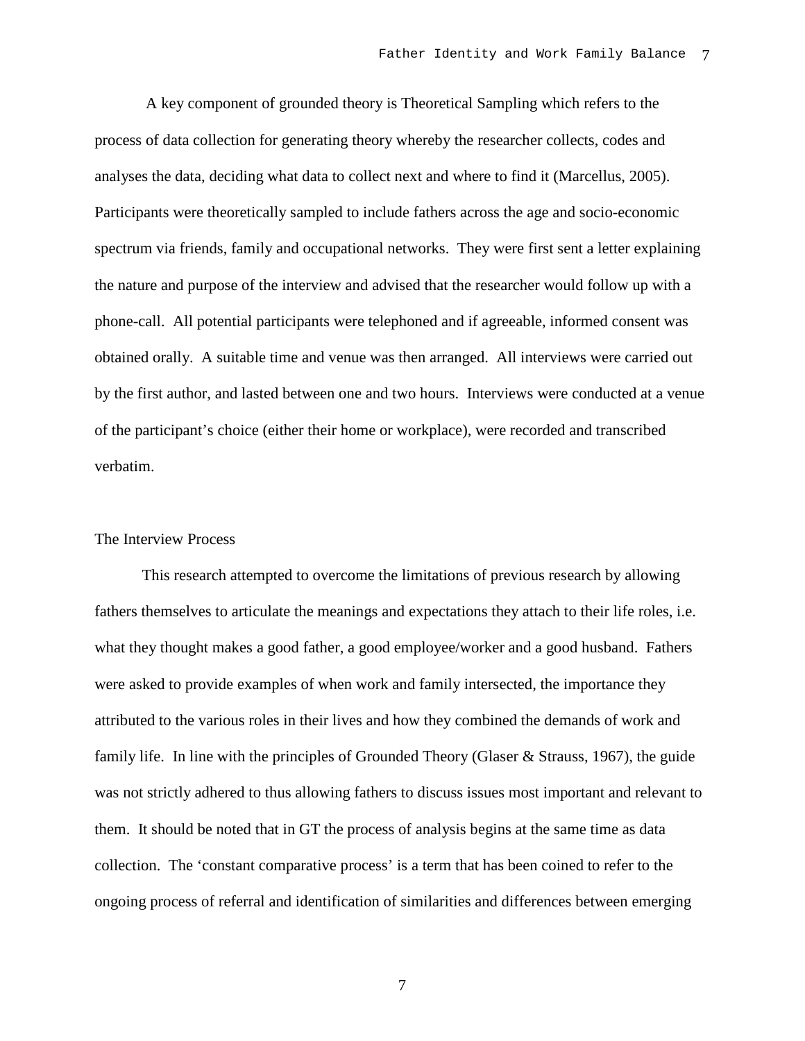A key component of grounded theory is Theoretical Sampling which refers to the process of data collection for generating theory whereby the researcher collects, codes and analyses the data, deciding what data to collect next and where to find it (Marcellus, 2005). Participants were theoretically sampled to include fathers across the age and socio-economic spectrum via friends, family and occupational networks. They were first sent a letter explaining the nature and purpose of the interview and advised that the researcher would follow up with a phone-call. All potential participants were telephoned and if agreeable, informed consent was obtained orally. A suitable time and venue was then arranged. All interviews were carried out by the first author, and lasted between one and two hours. Interviews were conducted at a venue of the participant's choice (either their home or workplace), were recorded and transcribed verbatim.

#### The Interview Process

This research attempted to overcome the limitations of previous research by allowing fathers themselves to articulate the meanings and expectations they attach to their life roles, i.e. what they thought makes a good father, a good employee/worker and a good husband. Fathers were asked to provide examples of when work and family intersected, the importance they attributed to the various roles in their lives and how they combined the demands of work and family life. In line with the principles of Grounded Theory (Glaser & Strauss, 1967), the guide was not strictly adhered to thus allowing fathers to discuss issues most important and relevant to them. It should be noted that in GT the process of analysis begins at the same time as data collection. The 'constant comparative process' is a term that has been coined to refer to the ongoing process of referral and identification of similarities and differences between emerging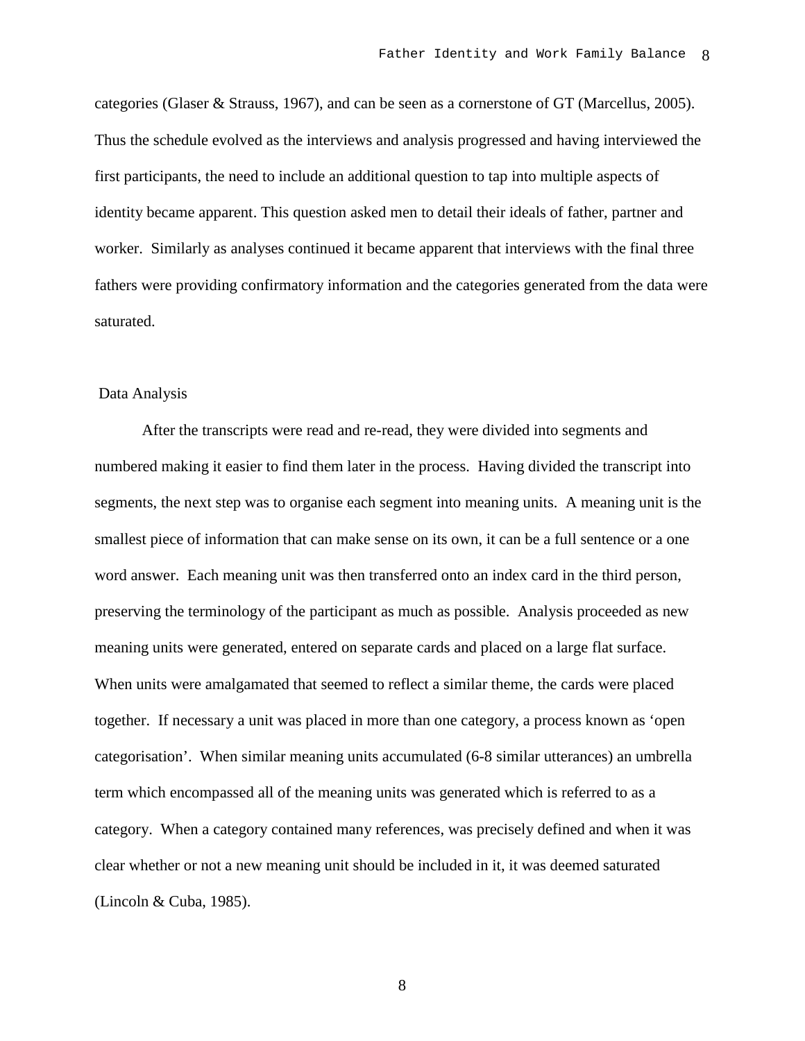categories (Glaser & Strauss, 1967), and can be seen as a cornerstone of GT (Marcellus, 2005). Thus the schedule evolved as the interviews and analysis progressed and having interviewed the first participants, the need to include an additional question to tap into multiple aspects of identity became apparent. This question asked men to detail their ideals of father, partner and worker. Similarly as analyses continued it became apparent that interviews with the final three fathers were providing confirmatory information and the categories generated from the data were saturated.

## Data Analysis

After the transcripts were read and re-read, they were divided into segments and numbered making it easier to find them later in the process. Having divided the transcript into segments, the next step was to organise each segment into meaning units. A meaning unit is the smallest piece of information that can make sense on its own, it can be a full sentence or a one word answer. Each meaning unit was then transferred onto an index card in the third person, preserving the terminology of the participant as much as possible. Analysis proceeded as new meaning units were generated, entered on separate cards and placed on a large flat surface. When units were amalgamated that seemed to reflect a similar theme, the cards were placed together. If necessary a unit was placed in more than one category, a process known as 'open categorisation'. When similar meaning units accumulated (6-8 similar utterances) an umbrella term which encompassed all of the meaning units was generated which is referred to as a category. When a category contained many references, was precisely defined and when it was clear whether or not a new meaning unit should be included in it, it was deemed saturated (Lincoln & Cuba, 1985).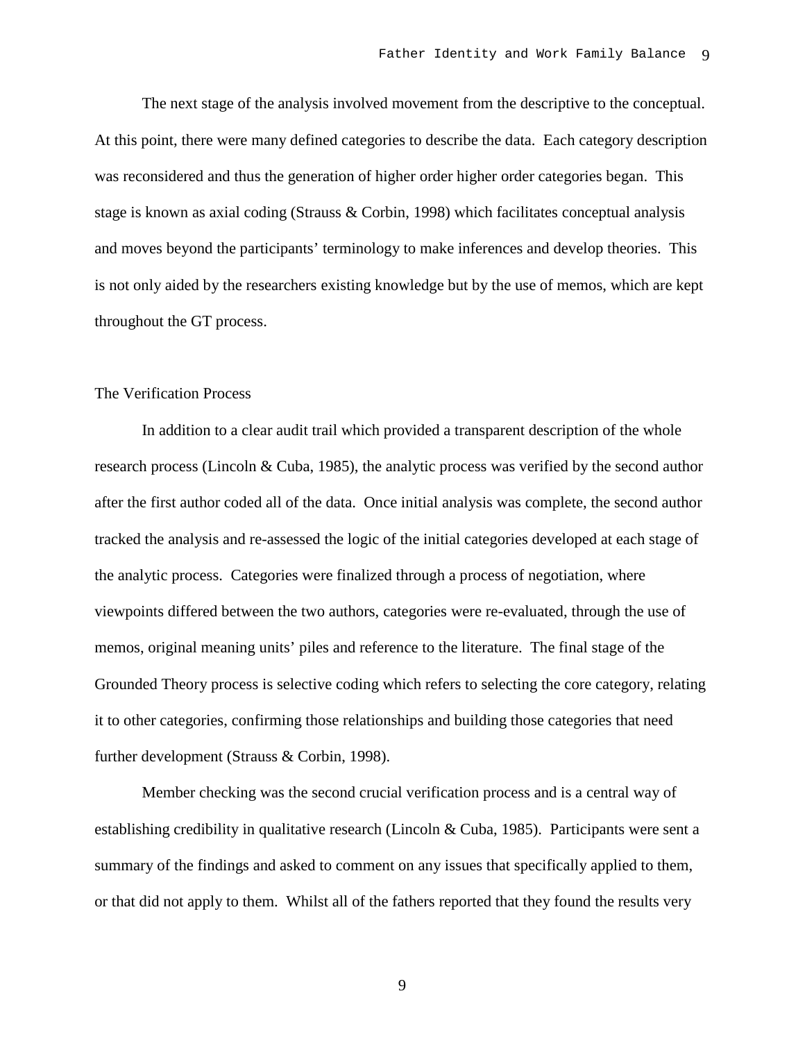The next stage of the analysis involved movement from the descriptive to the conceptual. At this point, there were many defined categories to describe the data. Each category description was reconsidered and thus the generation of higher order higher order categories began. This stage is known as axial coding (Strauss & Corbin, 1998) which facilitates conceptual analysis and moves beyond the participants' terminology to make inferences and develop theories. This is not only aided by the researchers existing knowledge but by the use of memos, which are kept throughout the GT process.

### The Verification Process

In addition to a clear audit trail which provided a transparent description of the whole research process (Lincoln & Cuba, 1985), the analytic process was verified by the second author after the first author coded all of the data. Once initial analysis was complete, the second author tracked the analysis and re-assessed the logic of the initial categories developed at each stage of the analytic process. Categories were finalized through a process of negotiation, where viewpoints differed between the two authors, categories were re-evaluated, through the use of memos, original meaning units' piles and reference to the literature. The final stage of the Grounded Theory process is selective coding which refers to selecting the core category, relating it to other categories, confirming those relationships and building those categories that need further development (Strauss & Corbin, 1998).

Member checking was the second crucial verification process and is a central way of establishing credibility in qualitative research (Lincoln & Cuba, 1985). Participants were sent a summary of the findings and asked to comment on any issues that specifically applied to them, or that did not apply to them. Whilst all of the fathers reported that they found the results very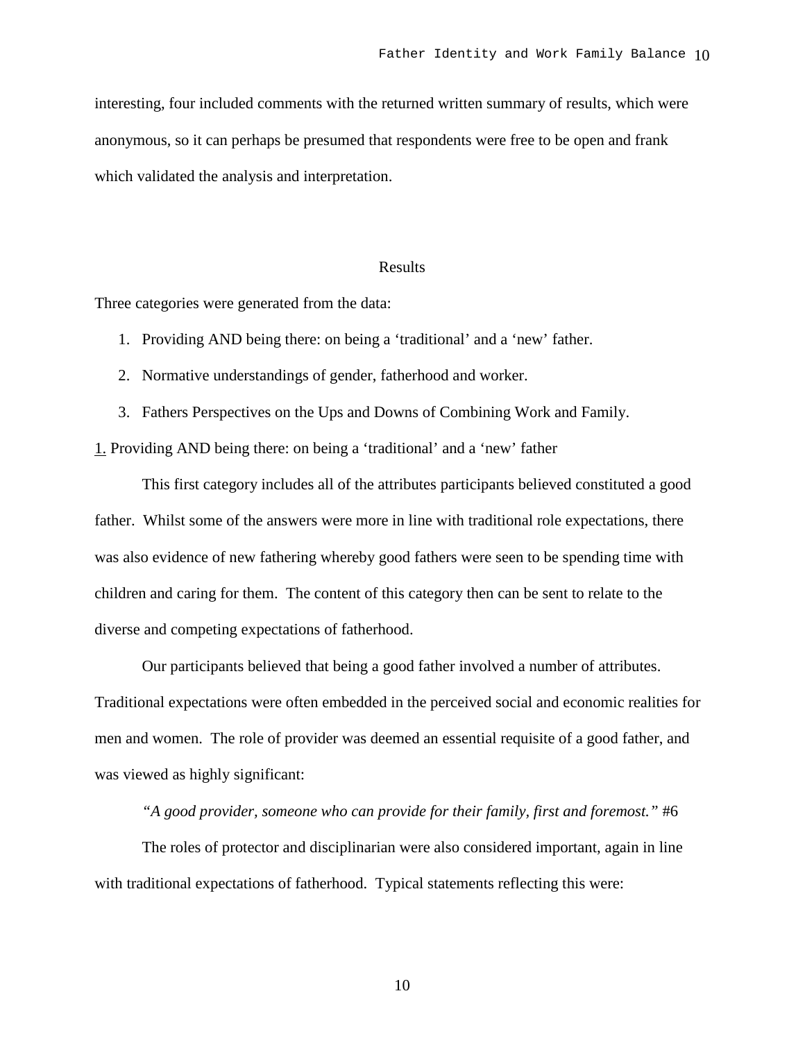interesting, four included comments with the returned written summary of results, which were anonymous, so it can perhaps be presumed that respondents were free to be open and frank which validated the analysis and interpretation.

#### Results

Three categories were generated from the data:

- 1. Providing AND being there: on being a 'traditional' and a 'new' father.
- 2. Normative understandings of gender, fatherhood and worker.
- 3. Fathers Perspectives on the Ups and Downs of Combining Work and Family.

1. Providing AND being there: on being a 'traditional' and a 'new' father

This first category includes all of the attributes participants believed constituted a good father. Whilst some of the answers were more in line with traditional role expectations, there was also evidence of new fathering whereby good fathers were seen to be spending time with children and caring for them. The content of this category then can be sent to relate to the diverse and competing expectations of fatherhood.

Our participants believed that being a good father involved a number of attributes. Traditional expectations were often embedded in the perceived social and economic realities for men and women. The role of provider was deemed an essential requisite of a good father, and was viewed as highly significant:

*"A good provider, someone who can provide for their family, first and foremost."* #6

The roles of protector and disciplinarian were also considered important, again in line with traditional expectations of fatherhood. Typical statements reflecting this were: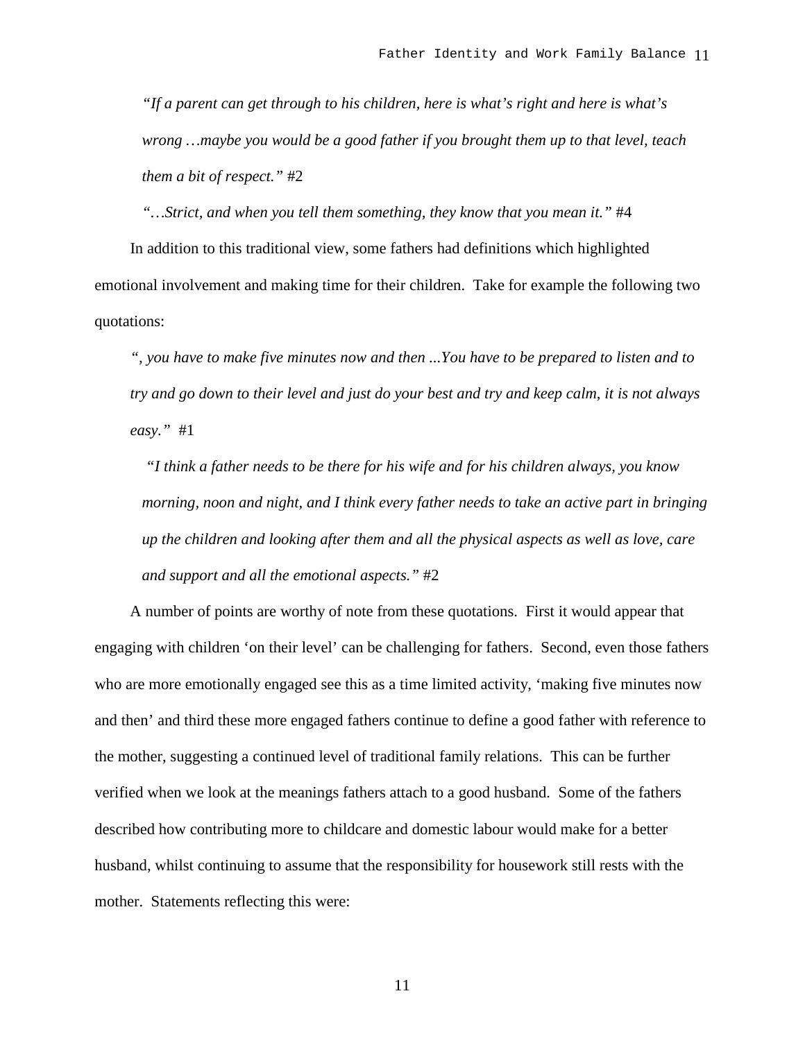*"If a parent can get through to his children, here is what's right and here is what's wrong …maybe you would be a good father if you brought them up to that level, teach them a bit of respect."* #2

*"…Strict, and when you tell them something, they know that you mean it."* #4

In addition to this traditional view, some fathers had definitions which highlighted emotional involvement and making time for their children. Take for example the following two quotations:

*", you have to make five minutes now and then ...You have to be prepared to listen and to try and go down to their level and just do your best and try and keep calm, it is not always easy."* #1

*"I think a father needs to be there for his wife and for his children always, you know morning, noon and night, and I think every father needs to take an active part in bringing up the children and looking after them and all the physical aspects as well as love, care and support and all the emotional aspects."* #2

A number of points are worthy of note from these quotations. First it would appear that engaging with children 'on their level' can be challenging for fathers. Second, even those fathers who are more emotionally engaged see this as a time limited activity, 'making five minutes now and then' and third these more engaged fathers continue to define a good father with reference to the mother, suggesting a continued level of traditional family relations. This can be further verified when we look at the meanings fathers attach to a good husband. Some of the fathers described how contributing more to childcare and domestic labour would make for a better husband, whilst continuing to assume that the responsibility for housework still rests with the mother. Statements reflecting this were: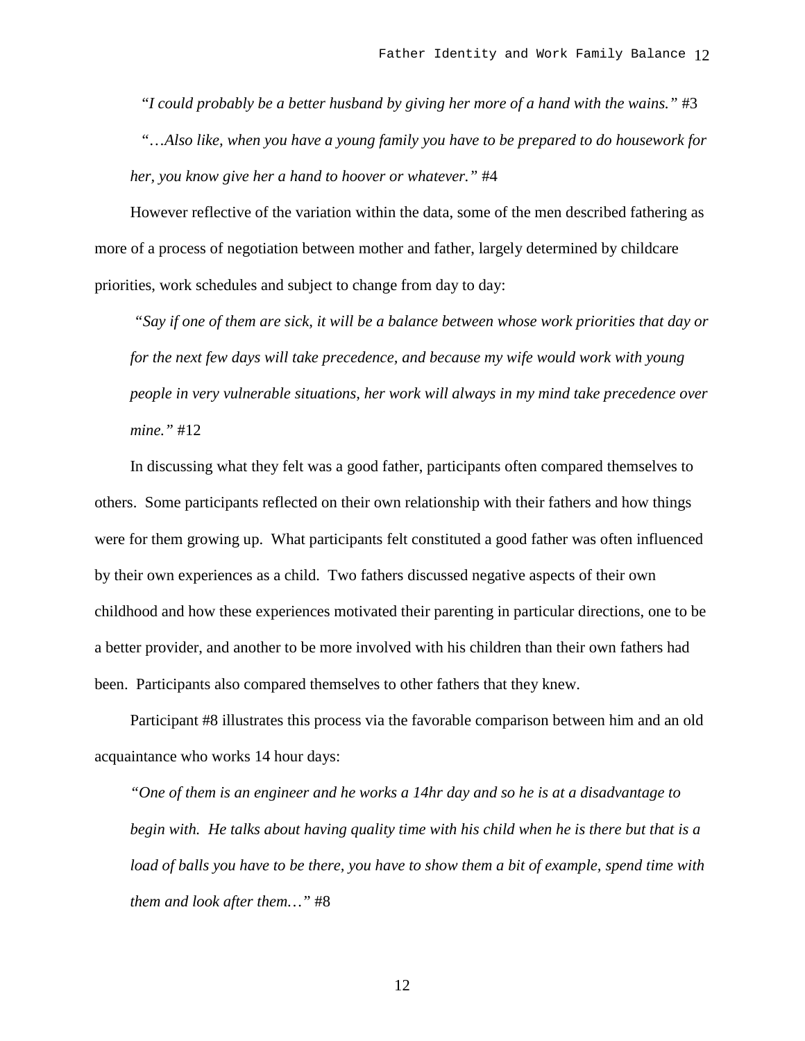"*I could probably be a better husband by giving her more of a hand with the wains."* #3 "…*Also like, when you have a young family you have to be prepared to do housework for her, you know give her a hand to hoover or whatever."* #4

However reflective of the variation within the data, some of the men described fathering as more of a process of negotiation between mother and father, largely determined by childcare priorities, work schedules and subject to change from day to day:

*"Say if one of them are sick, it will be a balance between whose work priorities that day or for the next few days will take precedence, and because my wife would work with young people in very vulnerable situations, her work will always in my mind take precedence over mine."* #12

In discussing what they felt was a good father, participants often compared themselves to others. Some participants reflected on their own relationship with their fathers and how things were for them growing up. What participants felt constituted a good father was often influenced by their own experiences as a child. Two fathers discussed negative aspects of their own childhood and how these experiences motivated their parenting in particular directions, one to be a better provider, and another to be more involved with his children than their own fathers had been. Participants also compared themselves to other fathers that they knew.

Participant #8 illustrates this process via the favorable comparison between him and an old acquaintance who works 14 hour days:

*"One of them is an engineer and he works a 14hr day and so he is at a disadvantage to begin with. He talks about having quality time with his child when he is there but that is a load of balls you have to be there, you have to show them a bit of example, spend time with them and look after them…"* #8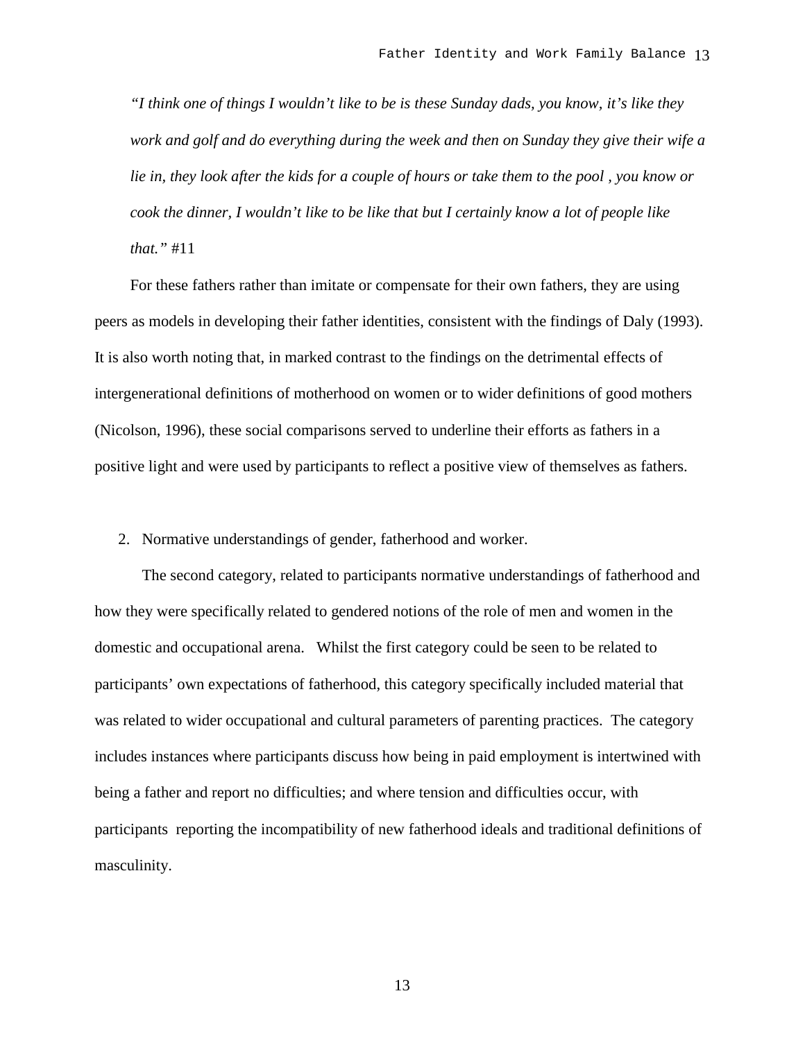*"I think one of things I wouldn't like to be is these Sunday dads, you know, it's like they work and golf and do everything during the week and then on Sunday they give their wife a lie in, they look after the kids for a couple of hours or take them to the pool , you know or cook the dinner, I wouldn't like to be like that but I certainly know a lot of people like that."* #11

For these fathers rather than imitate or compensate for their own fathers, they are using peers as models in developing their father identities, consistent with the findings of Daly (1993). It is also worth noting that, in marked contrast to the findings on the detrimental effects of intergenerational definitions of motherhood on women or to wider definitions of good mothers (Nicolson, 1996), these social comparisons served to underline their efforts as fathers in a positive light and were used by participants to reflect a positive view of themselves as fathers.

2. Normative understandings of gender, fatherhood and worker.

The second category, related to participants normative understandings of fatherhood and how they were specifically related to gendered notions of the role of men and women in the domestic and occupational arena. Whilst the first category could be seen to be related to participants' own expectations of fatherhood, this category specifically included material that was related to wider occupational and cultural parameters of parenting practices. The category includes instances where participants discuss how being in paid employment is intertwined with being a father and report no difficulties; and where tension and difficulties occur, with participants reporting the incompatibility of new fatherhood ideals and traditional definitions of masculinity.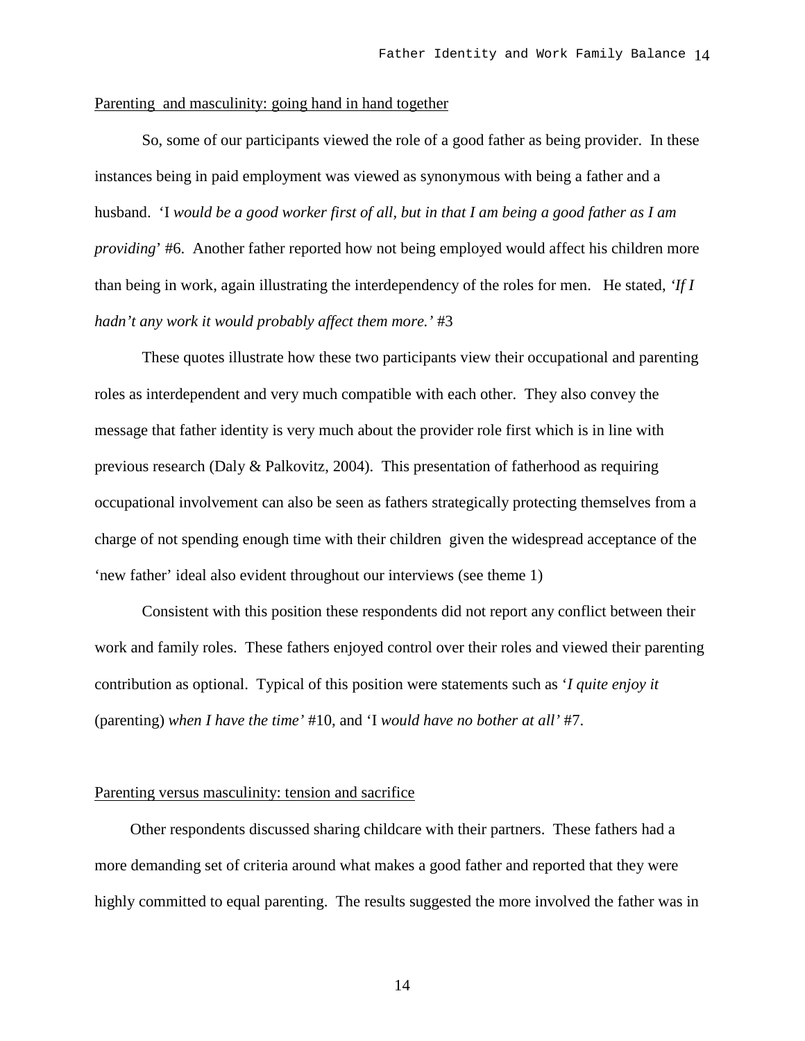### Parenting and masculinity: going hand in hand together

So, some of our participants viewed the role of a good father as being provider. In these instances being in paid employment was viewed as synonymous with being a father and a husband. 'I *would be a good worker first of all, but in that I am being a good father as I am providing*' #6. Another father reported how not being employed would affect his children more than being in work, again illustrating the interdependency of the roles for men. He stated, *'If I hadn't any work it would probably affect them more.'* #3

These quotes illustrate how these two participants view their occupational and parenting roles as interdependent and very much compatible with each other. They also convey the message that father identity is very much about the provider role first which is in line with previous research (Daly & Palkovitz, 2004). This presentation of fatherhood as requiring occupational involvement can also be seen as fathers strategically protecting themselves from a charge of not spending enough time with their children given the widespread acceptance of the 'new father' ideal also evident throughout our interviews (see theme 1)

Consistent with this position these respondents did not report any conflict between their work and family roles. These fathers enjoyed control over their roles and viewed their parenting contribution as optional. Typical of this position were statements such as '*I quite enjoy it* (parenting) *when I have the time'* #10, and 'I *would have no bother at all'* #7.

#### Parenting versus masculinity: tension and sacrifice

Other respondents discussed sharing childcare with their partners. These fathers had a more demanding set of criteria around what makes a good father and reported that they were highly committed to equal parenting. The results suggested the more involved the father was in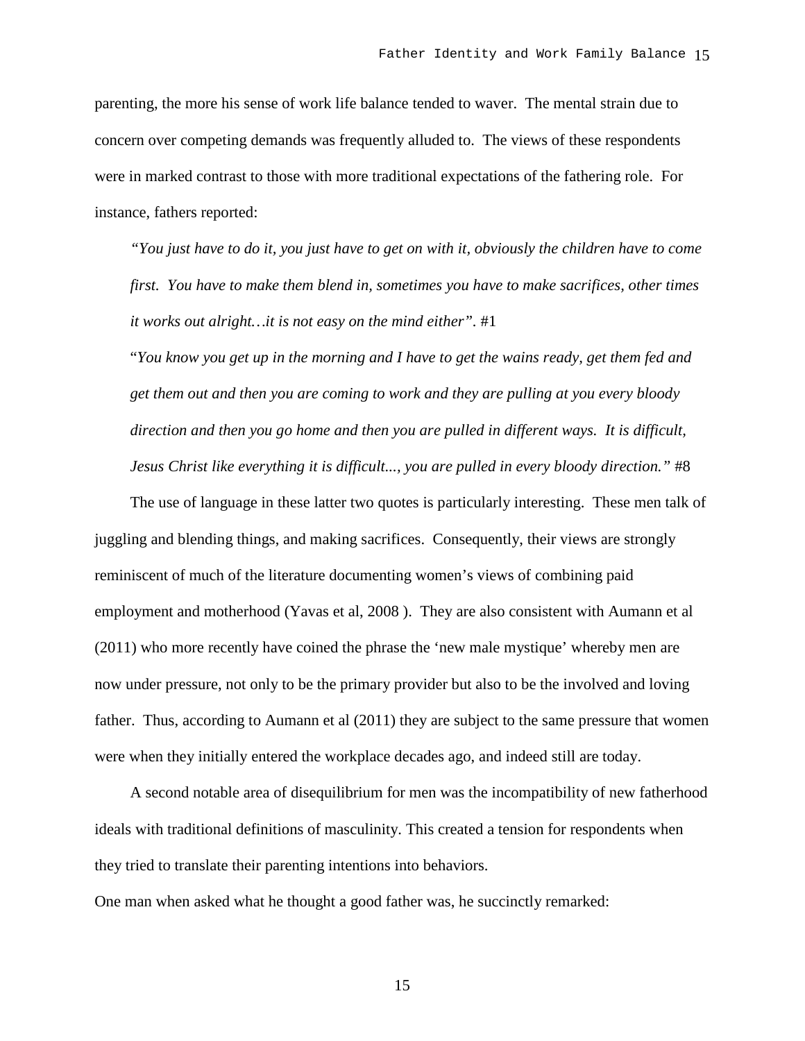parenting, the more his sense of work life balance tended to waver. The mental strain due to concern over competing demands was frequently alluded to. The views of these respondents were in marked contrast to those with more traditional expectations of the fathering role. For instance, fathers reported:

*"You just have to do it, you just have to get on with it, obviously the children have to come first. You have to make them blend in, sometimes you have to make sacrifices, other times it works out alright…it is not easy on the mind either".* #1

"*You know you get up in the morning and I have to get the wains ready, get them fed and get them out and then you are coming to work and they are pulling at you every bloody direction and then you go home and then you are pulled in different ways. It is difficult, Jesus Christ like everything it is difficult..., you are pulled in every bloody direction."* #8

The use of language in these latter two quotes is particularly interesting. These men talk of juggling and blending things, and making sacrifices. Consequently, their views are strongly reminiscent of much of the literature documenting women's views of combining paid employment and motherhood (Yavas et al, 2008 ). They are also consistent with Aumann et al (2011) who more recently have coined the phrase the 'new male mystique' whereby men are now under pressure, not only to be the primary provider but also to be the involved and loving father. Thus, according to Aumann et al (2011) they are subject to the same pressure that women were when they initially entered the workplace decades ago, and indeed still are today.

A second notable area of disequilibrium for men was the incompatibility of new fatherhood ideals with traditional definitions of masculinity. This created a tension for respondents when they tried to translate their parenting intentions into behaviors.

One man when asked what he thought a good father was, he succinctly remarked: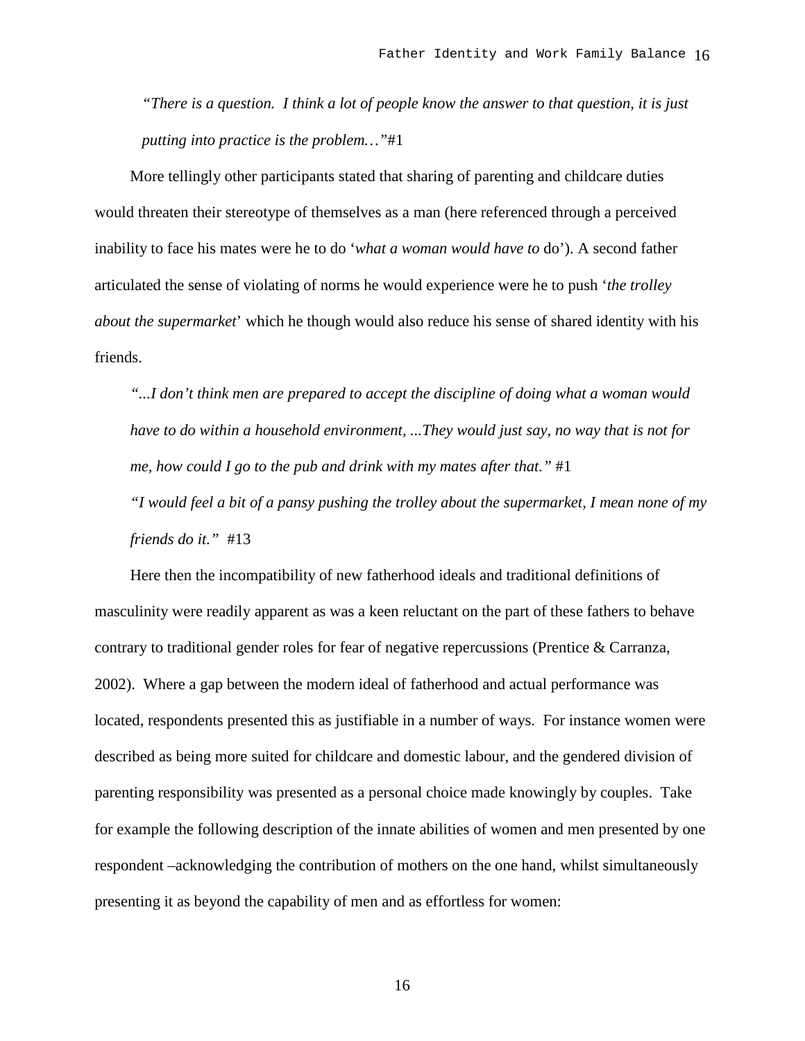*"There is a question. I think a lot of people know the answer to that question, it is just putting into practice is the problem…"*#1

More tellingly other participants stated that sharing of parenting and childcare duties would threaten their stereotype of themselves as a man (here referenced through a perceived inability to face his mates were he to do '*what a woman would have to* do'). A second father articulated the sense of violating of norms he would experience were he to push '*the trolley about the supermarket*' which he though would also reduce his sense of shared identity with his friends.

*"...I don't think men are prepared to accept the discipline of doing what a woman would have to do within a household environment, ...They would just say, no way that is not for me, how could I go to the pub and drink with my mates after that."* #1

*"I would feel a bit of a pansy pushing the trolley about the supermarket, I mean none of my friends do it."* #13

Here then the incompatibility of new fatherhood ideals and traditional definitions of masculinity were readily apparent as was a keen reluctant on the part of these fathers to behave contrary to traditional gender roles for fear of negative repercussions (Prentice & Carranza, 2002). Where a gap between the modern ideal of fatherhood and actual performance was located, respondents presented this as justifiable in a number of ways. For instance women were described as being more suited for childcare and domestic labour, and the gendered division of parenting responsibility was presented as a personal choice made knowingly by couples. Take for example the following description of the innate abilities of women and men presented by one respondent –acknowledging the contribution of mothers on the one hand, whilst simultaneously presenting it as beyond the capability of men and as effortless for women: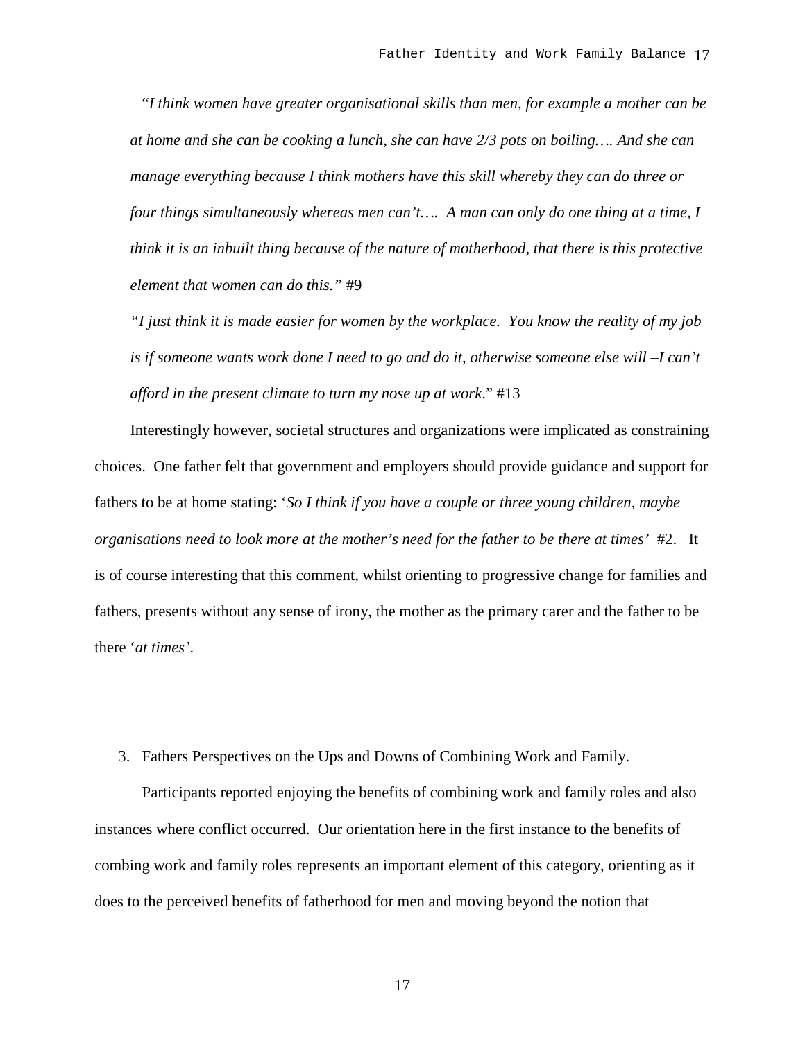"*I think women have greater organisational skills than men, for example a mother can be at home and she can be cooking a lunch, she can have 2/3 pots on boiling…. And she can manage everything because I think mothers have this skill whereby they can do three or four things simultaneously whereas men can't…. A man can only do one thing at a time, I think it is an inbuilt thing because of the nature of motherhood, that there is this protective element that women can do this."* #9

*"I just think it is made easier for women by the workplace. You know the reality of my job is if someone wants work done I need to go and do it, otherwise someone else will –I can't afford in the present climate to turn my nose up at work*." #13

Interestingly however, societal structures and organizations were implicated as constraining choices. One father felt that government and employers should provide guidance and support for fathers to be at home stating: '*So I think if you have a couple or three young children, maybe organisations need to look more at the mother's need for the father to be there at times'* #2. It is of course interesting that this comment, whilst orienting to progressive change for families and fathers, presents without any sense of irony, the mother as the primary carer and the father to be there '*at times'*.

3. Fathers Perspectives on the Ups and Downs of Combining Work and Family.

Participants reported enjoying the benefits of combining work and family roles and also instances where conflict occurred. Our orientation here in the first instance to the benefits of combing work and family roles represents an important element of this category, orienting as it does to the perceived benefits of fatherhood for men and moving beyond the notion that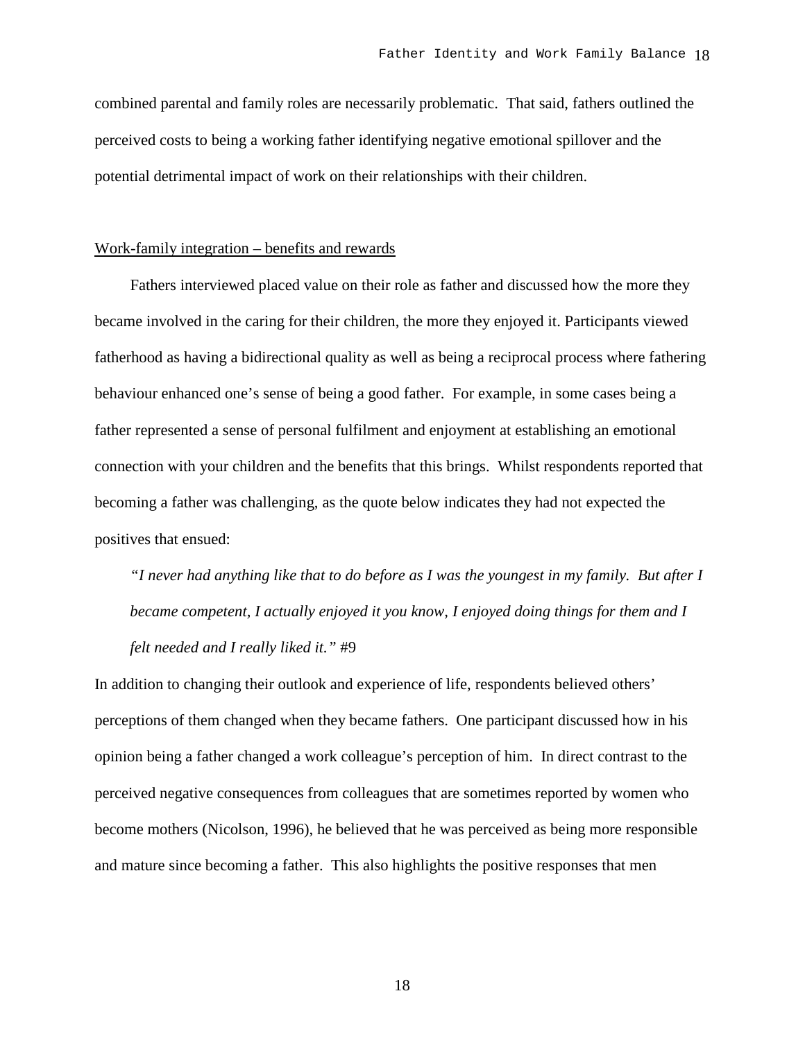combined parental and family roles are necessarily problematic. That said, fathers outlined the perceived costs to being a working father identifying negative emotional spillover and the potential detrimental impact of work on their relationships with their children.

### Work-family integration – benefits and rewards

Fathers interviewed placed value on their role as father and discussed how the more they became involved in the caring for their children, the more they enjoyed it. Participants viewed fatherhood as having a bidirectional quality as well as being a reciprocal process where fathering behaviour enhanced one's sense of being a good father. For example, in some cases being a father represented a sense of personal fulfilment and enjoyment at establishing an emotional connection with your children and the benefits that this brings. Whilst respondents reported that becoming a father was challenging, as the quote below indicates they had not expected the positives that ensued:

*"I never had anything like that to do before as I was the youngest in my family. But after I became competent, I actually enjoyed it you know, I enjoyed doing things for them and I felt needed and I really liked it."* #9

In addition to changing their outlook and experience of life, respondents believed others' perceptions of them changed when they became fathers. One participant discussed how in his opinion being a father changed a work colleague's perception of him. In direct contrast to the perceived negative consequences from colleagues that are sometimes reported by women who become mothers (Nicolson, 1996), he believed that he was perceived as being more responsible and mature since becoming a father. This also highlights the positive responses that men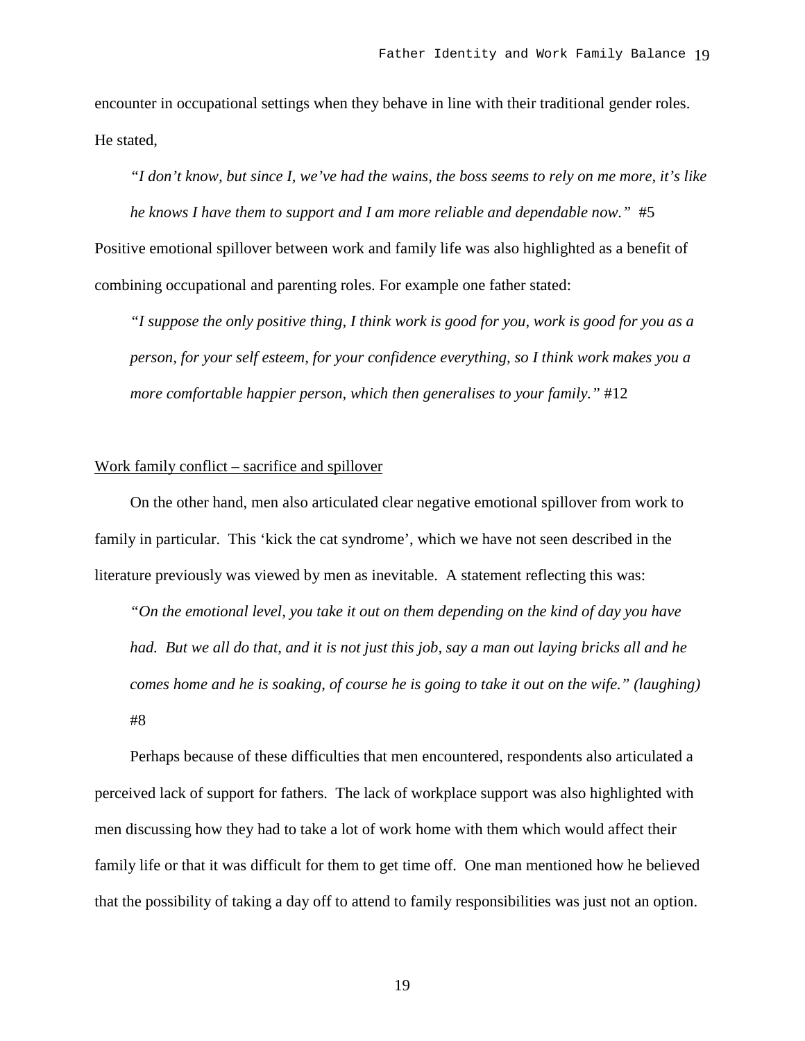encounter in occupational settings when they behave in line with their traditional gender roles. He stated,

*"I don't know, but since I, we've had the wains, the boss seems to rely on me more, it's like he knows I have them to support and I am more reliable and dependable now.*" #5 Positive emotional spillover between work and family life was also highlighted as a benefit of combining occupational and parenting roles. For example one father stated:

*"I suppose the only positive thing, I think work is good for you, work is good for you as a person, for your self esteem, for your confidence everything, so I think work makes you a more comfortable happier person, which then generalises to your family."* #12

### Work family conflict – sacrifice and spillover

On the other hand, men also articulated clear negative emotional spillover from work to family in particular. This 'kick the cat syndrome', which we have not seen described in the literature previously was viewed by men as inevitable. A statement reflecting this was:

*"On the emotional level, you take it out on them depending on the kind of day you have had. But we all do that, and it is not just this job, say a man out laying bricks all and he comes home and he is soaking, of course he is going to take it out on the wife." (laughing)* #8

Perhaps because of these difficulties that men encountered, respondents also articulated a perceived lack of support for fathers. The lack of workplace support was also highlighted with men discussing how they had to take a lot of work home with them which would affect their family life or that it was difficult for them to get time off. One man mentioned how he believed that the possibility of taking a day off to attend to family responsibilities was just not an option.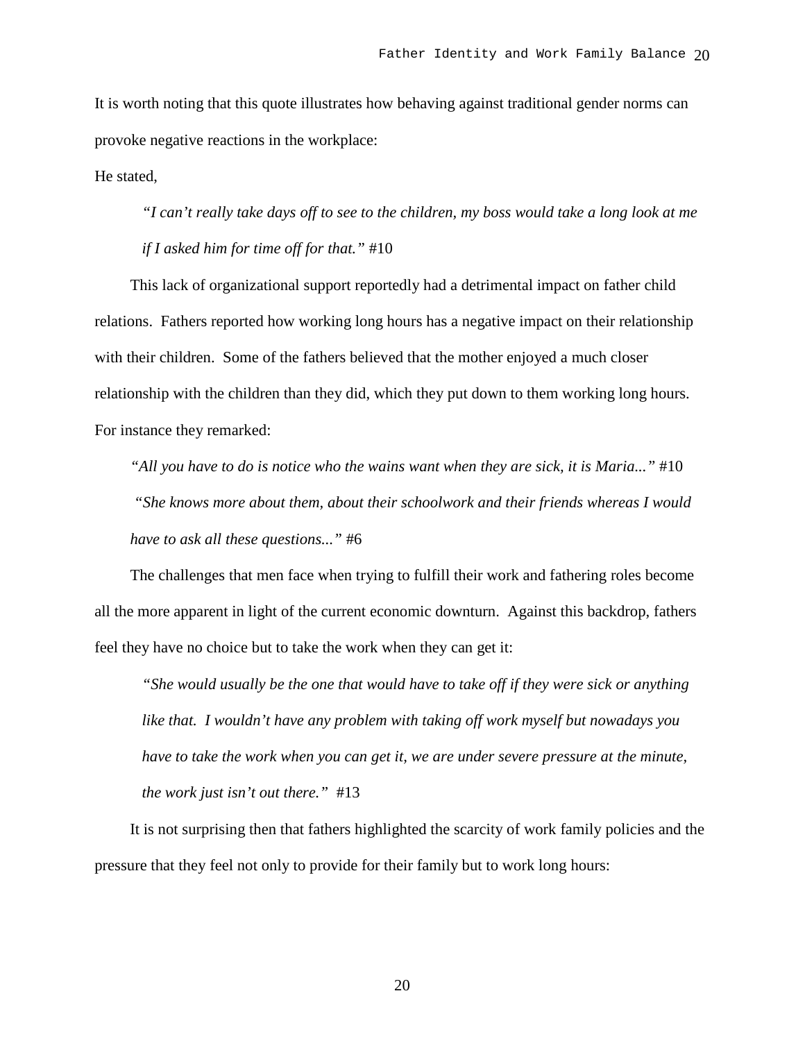It is worth noting that this quote illustrates how behaving against traditional gender norms can provoke negative reactions in the workplace:

He stated,

*"I can't really take days off to see to the children, my boss would take a long look at me if I asked him for time off for that."* #10

This lack of organizational support reportedly had a detrimental impact on father child relations. Fathers reported how working long hours has a negative impact on their relationship with their children. Some of the fathers believed that the mother enjoyed a much closer relationship with the children than they did, which they put down to them working long hours. For instance they remarked:

*"All you have to do is notice who the wains want when they are sick, it is Maria..."* #10 *"She knows more about them, about their schoolwork and their friends whereas I would have to ask all these questions..."* #6

The challenges that men face when trying to fulfill their work and fathering roles become all the more apparent in light of the current economic downturn. Against this backdrop, fathers feel they have no choice but to take the work when they can get it:

*"She would usually be the one that would have to take off if they were sick or anything like that. I wouldn't have any problem with taking off work myself but nowadays you*  have to take the work when you can get it, we are under severe pressure at the minute, *the work just isn't out there."* #13

It is not surprising then that fathers highlighted the scarcity of work family policies and the pressure that they feel not only to provide for their family but to work long hours: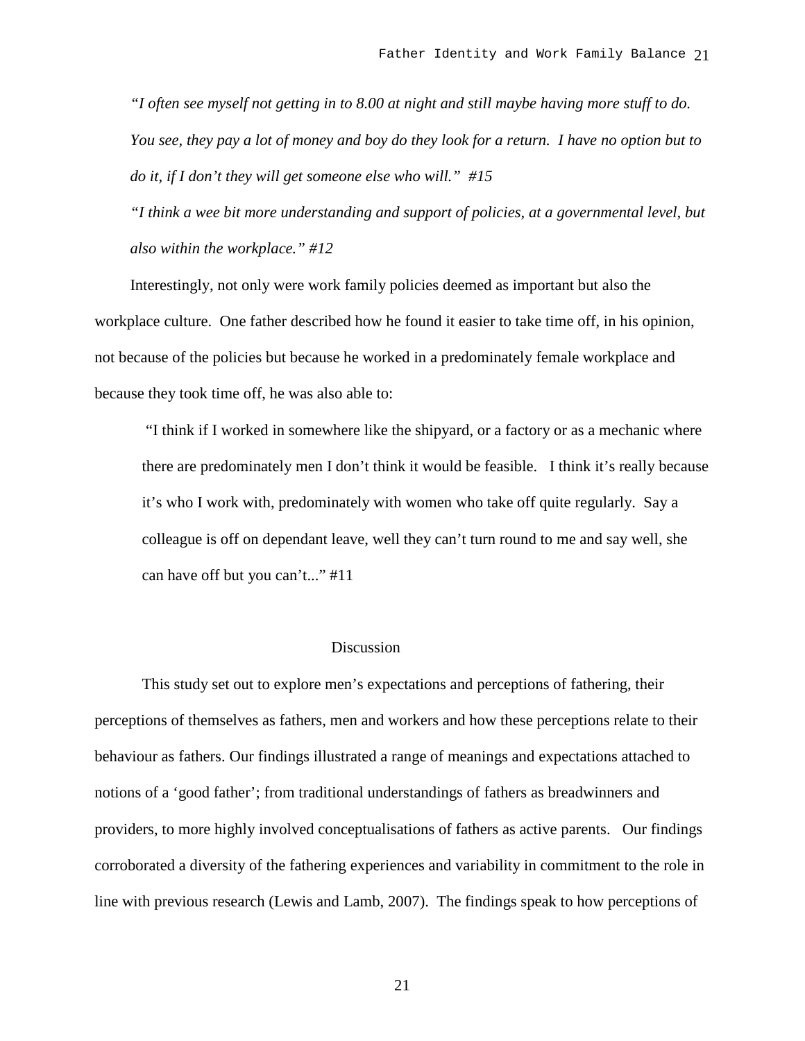*"I often see myself not getting in to 8.00 at night and still maybe having more stuff to do. You see, they pay a lot of money and boy do they look for a return. I have no option but to do it, if I don't they will get someone else who will." #15*

*"I think a wee bit more understanding and support of policies, at a governmental level, but also within the workplace." #12*

Interestingly, not only were work family policies deemed as important but also the workplace culture. One father described how he found it easier to take time off, in his opinion, not because of the policies but because he worked in a predominately female workplace and because they took time off, he was also able to:

"I think if I worked in somewhere like the shipyard, or a factory or as a mechanic where there are predominately men I don't think it would be feasible. I think it's really because it's who I work with, predominately with women who take off quite regularly. Say a colleague is off on dependant leave, well they can't turn round to me and say well, she can have off but you can't..." #11

# Discussion

This study set out to explore men's expectations and perceptions of fathering, their perceptions of themselves as fathers, men and workers and how these perceptions relate to their behaviour as fathers. Our findings illustrated a range of meanings and expectations attached to notions of a 'good father'; from traditional understandings of fathers as breadwinners and providers, to more highly involved conceptualisations of fathers as active parents. Our findings corroborated a diversity of the fathering experiences and variability in commitment to the role in line with previous research (Lewis and Lamb, 2007). The findings speak to how perceptions of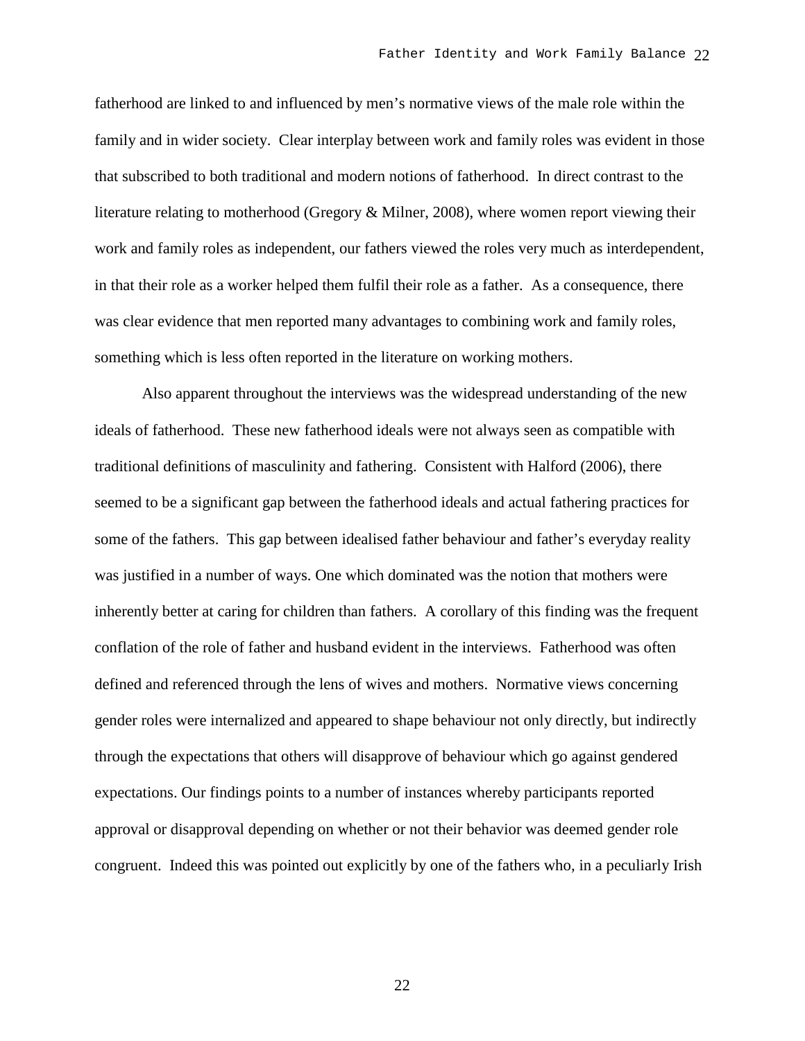fatherhood are linked to and influenced by men's normative views of the male role within the family and in wider society. Clear interplay between work and family roles was evident in those that subscribed to both traditional and modern notions of fatherhood. In direct contrast to the literature relating to motherhood (Gregory & Milner, 2008), where women report viewing their work and family roles as independent, our fathers viewed the roles very much as interdependent, in that their role as a worker helped them fulfil their role as a father. As a consequence, there was clear evidence that men reported many advantages to combining work and family roles, something which is less often reported in the literature on working mothers.

Also apparent throughout the interviews was the widespread understanding of the new ideals of fatherhood. These new fatherhood ideals were not always seen as compatible with traditional definitions of masculinity and fathering. Consistent with Halford (2006), there seemed to be a significant gap between the fatherhood ideals and actual fathering practices for some of the fathers. This gap between idealised father behaviour and father's everyday reality was justified in a number of ways. One which dominated was the notion that mothers were inherently better at caring for children than fathers. A corollary of this finding was the frequent conflation of the role of father and husband evident in the interviews. Fatherhood was often defined and referenced through the lens of wives and mothers. Normative views concerning gender roles were internalized and appeared to shape behaviour not only directly, but indirectly through the expectations that others will disapprove of behaviour which go against gendered expectations. Our findings points to a number of instances whereby participants reported approval or disapproval depending on whether or not their behavior was deemed gender role congruent. Indeed this was pointed out explicitly by one of the fathers who, in a peculiarly Irish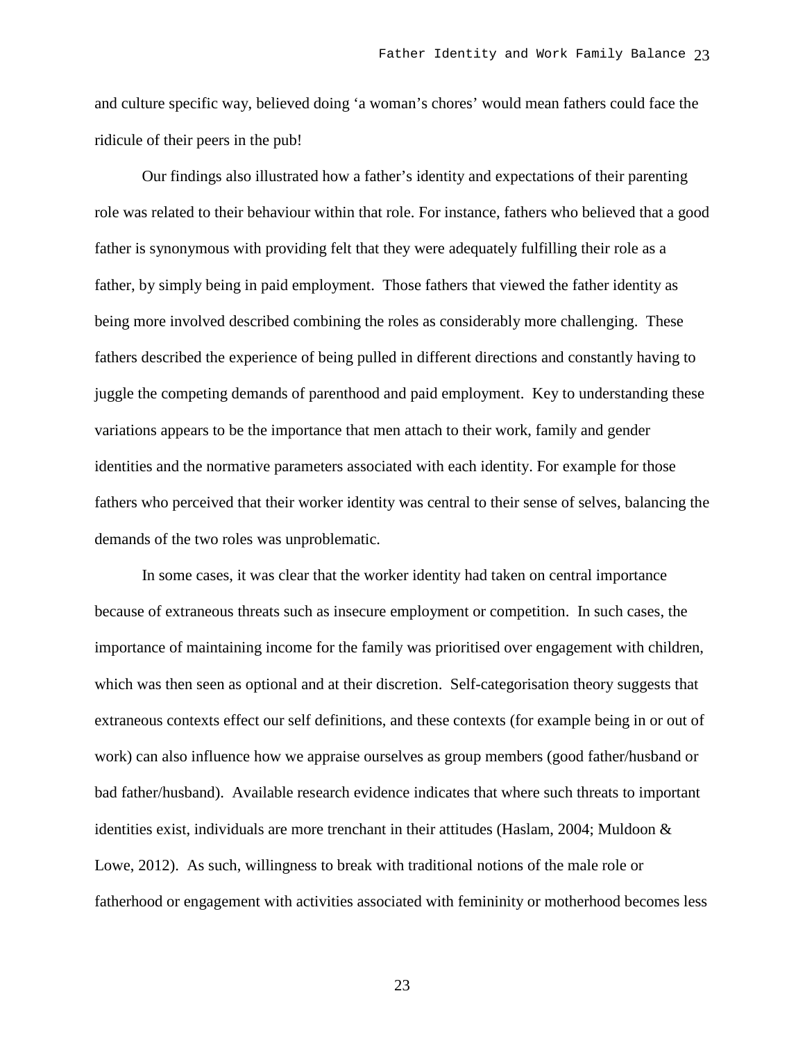and culture specific way, believed doing 'a woman's chores' would mean fathers could face the ridicule of their peers in the pub!

Our findings also illustrated how a father's identity and expectations of their parenting role was related to their behaviour within that role. For instance, fathers who believed that a good father is synonymous with providing felt that they were adequately fulfilling their role as a father, by simply being in paid employment. Those fathers that viewed the father identity as being more involved described combining the roles as considerably more challenging. These fathers described the experience of being pulled in different directions and constantly having to juggle the competing demands of parenthood and paid employment. Key to understanding these variations appears to be the importance that men attach to their work, family and gender identities and the normative parameters associated with each identity. For example for those fathers who perceived that their worker identity was central to their sense of selves, balancing the demands of the two roles was unproblematic.

In some cases, it was clear that the worker identity had taken on central importance because of extraneous threats such as insecure employment or competition. In such cases, the importance of maintaining income for the family was prioritised over engagement with children, which was then seen as optional and at their discretion. Self-categorisation theory suggests that extraneous contexts effect our self definitions, and these contexts (for example being in or out of work) can also influence how we appraise ourselves as group members (good father/husband or bad father/husband). Available research evidence indicates that where such threats to important identities exist, individuals are more trenchant in their attitudes (Haslam, 2004; Muldoon & Lowe, 2012). As such, willingness to break with traditional notions of the male role or fatherhood or engagement with activities associated with femininity or motherhood becomes less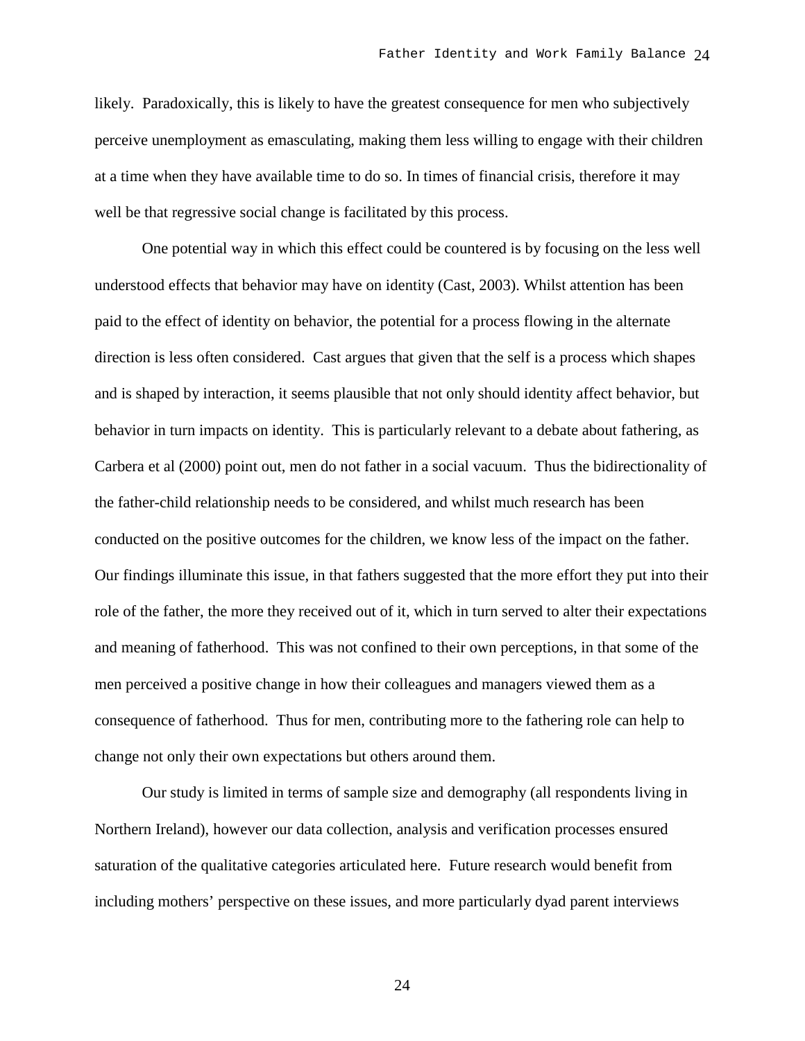likely. Paradoxically, this is likely to have the greatest consequence for men who subjectively perceive unemployment as emasculating, making them less willing to engage with their children at a time when they have available time to do so. In times of financial crisis, therefore it may well be that regressive social change is facilitated by this process.

One potential way in which this effect could be countered is by focusing on the less well understood effects that behavior may have on identity (Cast, 2003). Whilst attention has been paid to the effect of identity on behavior, the potential for a process flowing in the alternate direction is less often considered. Cast argues that given that the self is a process which shapes and is shaped by interaction, it seems plausible that not only should identity affect behavior, but behavior in turn impacts on identity. This is particularly relevant to a debate about fathering, as Carbera et al (2000) point out, men do not father in a social vacuum. Thus the bidirectionality of the father-child relationship needs to be considered, and whilst much research has been conducted on the positive outcomes for the children, we know less of the impact on the father. Our findings illuminate this issue, in that fathers suggested that the more effort they put into their role of the father, the more they received out of it, which in turn served to alter their expectations and meaning of fatherhood. This was not confined to their own perceptions, in that some of the men perceived a positive change in how their colleagues and managers viewed them as a consequence of fatherhood. Thus for men, contributing more to the fathering role can help to change not only their own expectations but others around them.

Our study is limited in terms of sample size and demography (all respondents living in Northern Ireland), however our data collection, analysis and verification processes ensured saturation of the qualitative categories articulated here. Future research would benefit from including mothers' perspective on these issues, and more particularly dyad parent interviews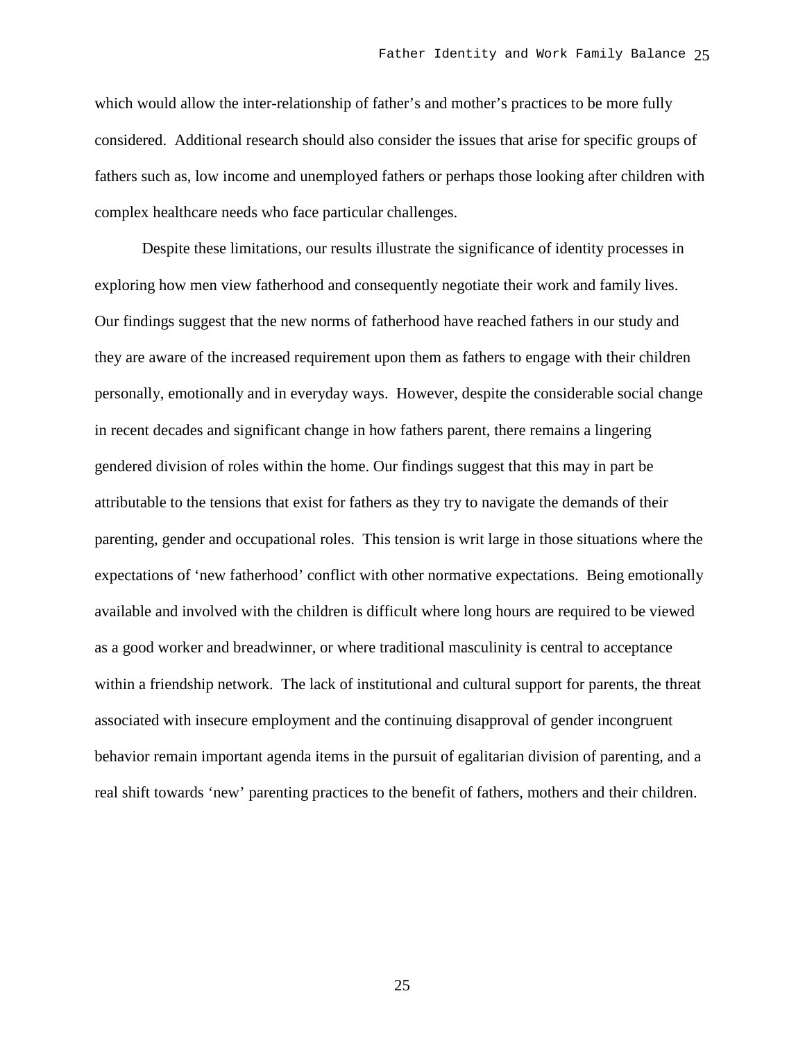which would allow the inter-relationship of father's and mother's practices to be more fully considered. Additional research should also consider the issues that arise for specific groups of fathers such as, low income and unemployed fathers or perhaps those looking after children with complex healthcare needs who face particular challenges.

Despite these limitations, our results illustrate the significance of identity processes in exploring how men view fatherhood and consequently negotiate their work and family lives. Our findings suggest that the new norms of fatherhood have reached fathers in our study and they are aware of the increased requirement upon them as fathers to engage with their children personally, emotionally and in everyday ways. However, despite the considerable social change in recent decades and significant change in how fathers parent, there remains a lingering gendered division of roles within the home. Our findings suggest that this may in part be attributable to the tensions that exist for fathers as they try to navigate the demands of their parenting, gender and occupational roles. This tension is writ large in those situations where the expectations of 'new fatherhood' conflict with other normative expectations. Being emotionally available and involved with the children is difficult where long hours are required to be viewed as a good worker and breadwinner, or where traditional masculinity is central to acceptance within a friendship network. The lack of institutional and cultural support for parents, the threat associated with insecure employment and the continuing disapproval of gender incongruent behavior remain important agenda items in the pursuit of egalitarian division of parenting, and a real shift towards 'new' parenting practices to the benefit of fathers, mothers and their children.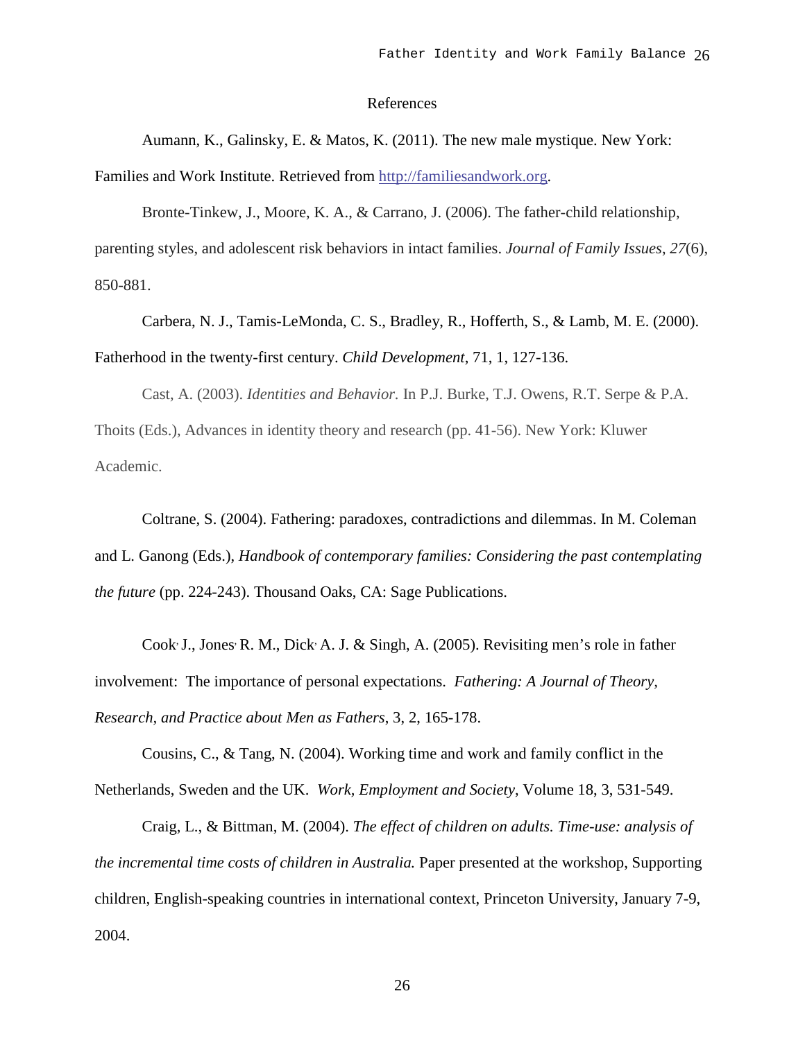#### References

Aumann, K., Galinsky, E. & Matos, K. (2011). The new male mystique. New York:

Families and Work Institute. Retrieved from [http://familiesandwork.org.](http://familiesandwork.org/)

Bronte-Tinkew, J., Moore, K. A., & Carrano, J. (2006). The father-child relationship, parenting styles, and adolescent risk behaviors in intact families. *Journal of Family Issues*, *27*(6), 850-881.

Carbera, N. J., Tamis-LeMonda, C. S., Bradley, R., Hofferth, S., & Lamb, M. E. (2000). Fatherhood in the twenty-first century. *Child Development*, 71, 1, 127-136.

Cast, A. (2003). *Identities and Behavior.* In P.J. Burke, T.J. Owens, R.T. Serpe & P.A. Thoits (Eds.), Advances in identity theory and research (pp. 41-56). New York: Kluwer Academic.

Coltrane, S. (2004). Fathering: paradoxes, contradictions and dilemmas. In M. Coleman and L. Ganong (Eds.), *Handbook of contemporary families: Considering the past contemplating the future* (pp. 224-243). Thousand Oaks, CA: Sage Publications.

Cook, J., Jones, R. M., Dick, A. J. & Singh, A. (2005). Revisiting men's role in father involvement: The importance of personal expectations. *[Fathering: A Journal of Theory,](http://mensstudies.metapress.com/content/120394/?p=326fd9dc4995441cb4fc41a61503ac14&pi=0)  [Research, and Practice about Men as Fathers](http://mensstudies.metapress.com/content/120394/?p=326fd9dc4995441cb4fc41a61503ac14&pi=0)*, 3, 2, 165-178.

Cousins, C., & Tang, N. (2004). Working time and work and family conflict in the Netherlands, Sweden and the UK. *Work, Employment and Society*, Volume 18, 3, 531-549.

Craig, L., & Bittman, M. (2004). *The effect of children on adults. Time-use: analysis of the incremental time costs of children in Australia.* Paper presented at the workshop, Supporting children, English-speaking countries in international context, Princeton University, January 7-9, 2004.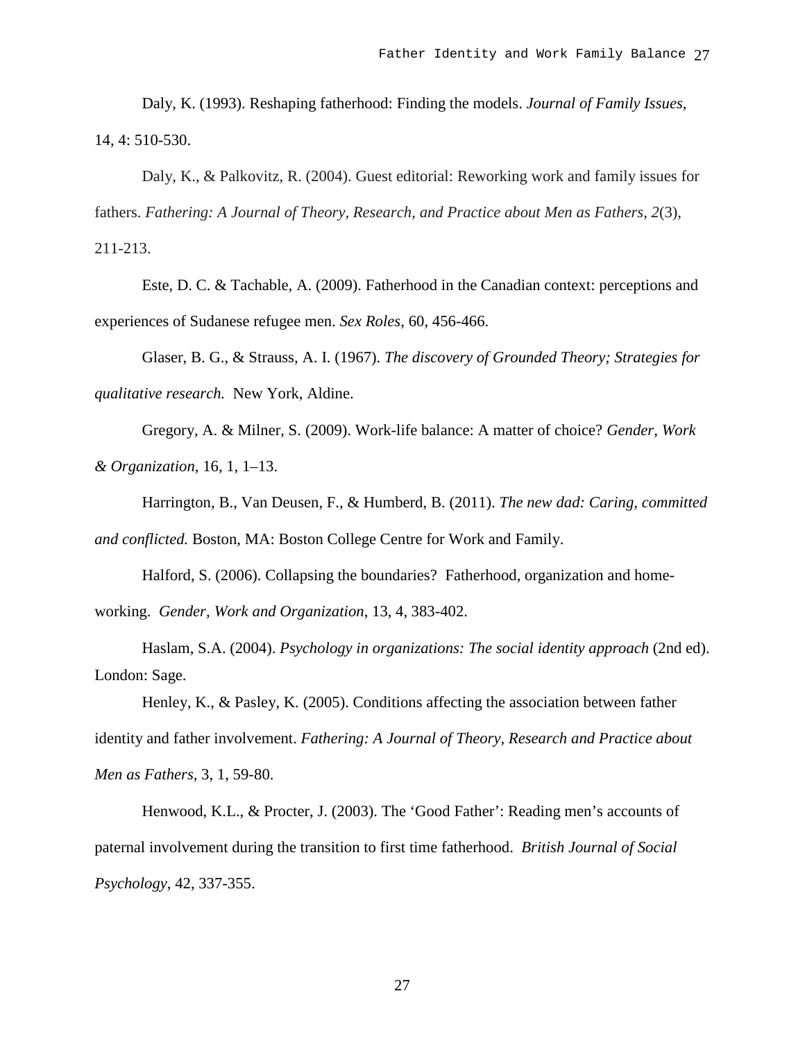Daly, K. (1993). Reshaping fatherhood: Finding the models. *Journal of Family Issues*, 14, 4: 510-530.

Daly, K., & Palkovitz, R. (2004). Guest editorial: Reworking work and family issues for fathers. *Fathering: A Journal of Theory, Research, and Practice about Men as Fathers*, *2*(3), 211-213.

Este, D. C. & Tachable, A. (2009). Fatherhood in the Canadian context: perceptions and experiences of Sudanese refugee men. *Sex Roles*, 60, 456-466.

Glaser, B. G., & Strauss, A. I. (1967). *The discovery of Grounded Theory; Strategies for qualitative research.* New York, Aldine.

Gregory, A. & Milner, S. (2009). Work-life balance: A matter of choice? *Gender, Work & Organization*, 16, 1, 1–13.

Harrington, B., Van Deusen, F., & Humberd, B. (2011). *The new dad: Caring, committed and conflicted.* Boston, MA: Boston College Centre for Work and Family.

Halford, S. (2006). Collapsing the boundaries? Fatherhood, organization and homeworking. *Gender, Work and Organization*, 13, 4, 383-402.

Haslam, S.A. (2004). *Psychology in organizations: The social identity approach* (2nd ed). London: Sage.

Henley, K., & Pasley, K. (2005). Conditions affecting the association between father identity and father involvement. *Fathering: A Journal of Theory, Research and Practice about Men as Fathers,* 3, 1, 59-80.

Henwood, K.L., & Procter, J. (2003). The 'Good Father': Reading men's accounts of paternal involvement during the transition to first time fatherhood. *British Journal of Social Psychology*, 42, 337-355.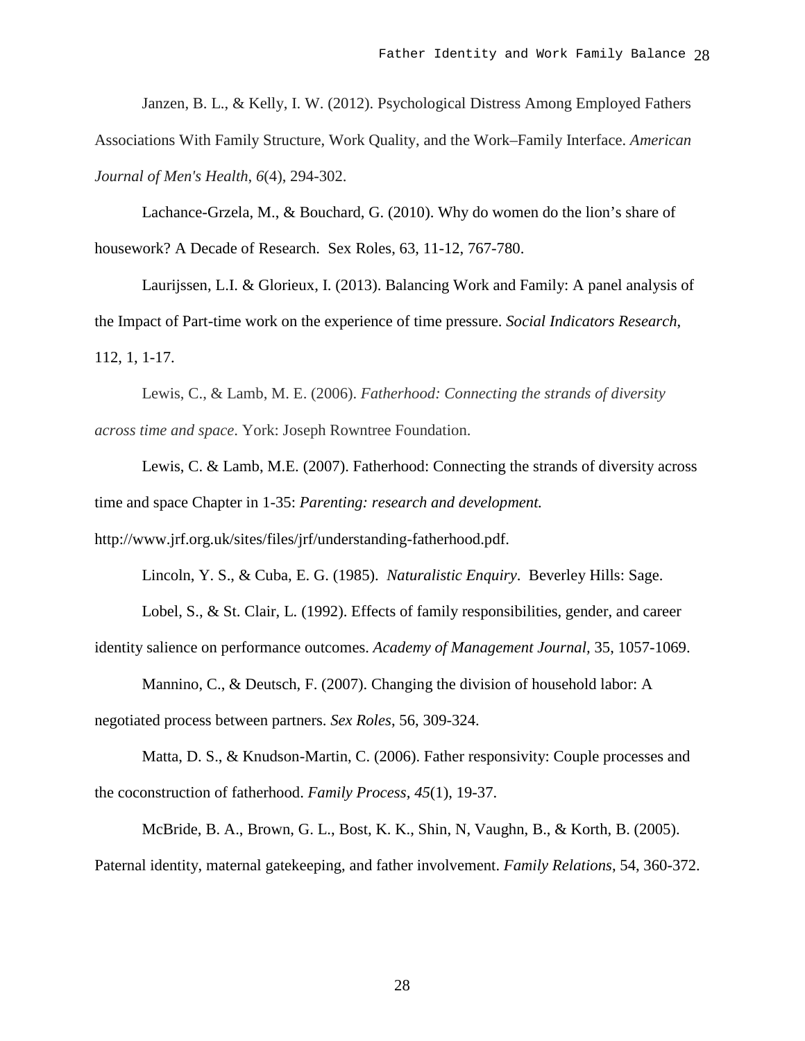Janzen, B. L., & Kelly, I. W. (2012). Psychological Distress Among Employed Fathers Associations With Family Structure, Work Quality, and the Work–Family Interface. *American Journal of Men's Health*, *6*(4), 294-302.

Lachance-Grzela, M., & Bouchard, G. (2010). Why do women do the lion's share of housework? A Decade of Research. Sex Roles, 63, 11-12, 767-780.

Laurijssen, L.I. & Glorieux, I. (2013). Balancing Work and Family: A panel analysis of the Impact of Part-time work on the experience of time pressure. *Social Indicators Research*, 112, 1, 1-17.

Lewis, C., & Lamb, M. E. (2006). *Fatherhood: Connecting the strands of diversity across time and space*. York: Joseph Rowntree Foundation.

Lewis, C. & Lamb, M.E. (2007). Fatherhood: Connecting the strands of diversity across time and space Chapter in 1-35: *Parenting: research and development.* 

http://www.jrf.org.uk/sites/files/jrf/understanding-fatherhood.pdf.

Lincoln, Y. S., & Cuba, E. G. (1985). *Naturalistic Enquiry*. Beverley Hills: Sage.

Lobel, S., & St. Clair, L. (1992). Effects of family responsibilities, gender, and career identity salience on performance outcomes. *Academy of Management Journal,* 35, 1057-1069.

Mannino, C., & Deutsch, F. (2007). Changing the division of household labor: A negotiated process between partners. *Sex Roles*, 56, 309-324.

Matta, D. S., & Knudson-Martin, C. (2006). Father responsivity: Couple processes and the coconstruction of fatherhood. *Family Process, 45*(1), 19-37.

McBride, B. A., Brown, G. L., Bost, K. K., Shin, N, Vaughn, B., & Korth, B. (2005). Paternal identity, maternal gatekeeping, and father involvement. *Family Relations*, 54, 360-372.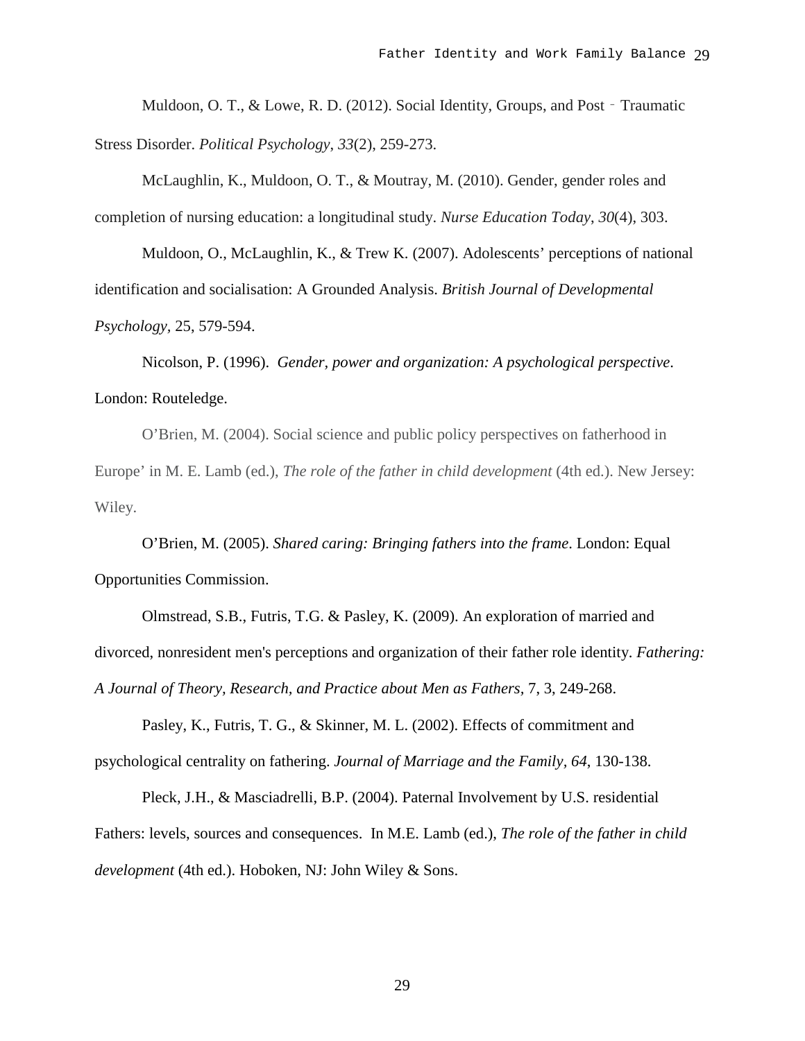Muldoon, O. T., & Lowe, R. D. (2012). Social Identity, Groups, and Post - Traumatic Stress Disorder. *Political Psychology*, *33*(2), 259-273.

McLaughlin, K., Muldoon, O. T., & Moutray, M. (2010). Gender, gender roles and completion of nursing education: a longitudinal study. *Nurse Education Today*, *30*(4), 303.

Muldoon, O., McLaughlin, K., & Trew K. (2007). Adolescents' perceptions of national identification and socialisation: A Grounded Analysis. *British Journal of Developmental Psychology,* 25, 579-594.

Nicolson, P. (1996). *Gender, power and organization: A psychological perspective*. London: Routeledge.

O'Brien, M. (2004). Social science and public policy perspectives on fatherhood in Europe' in M. E. Lamb (ed.), *The role of the father in child development* (4th ed.). New Jersey: Wiley.

O'Brien, M. (2005). *Shared caring: Bringing fathers into the frame*. London: Equal Opportunities Commission.

Olmstread, S.B., Futris, T.G. & Pasley, K. (2009). An exploration of married and divorced, nonresident men's perceptions and organization of their father role identity. *[Fathering:](http://mensstudies.metapress.com/content/120394/?p=c5df256c00134de0bf50ed90b549f196&pi=0)  [A Journal of Theory, Research, and Practice about Men as Fathers,](http://mensstudies.metapress.com/content/120394/?p=c5df256c00134de0bf50ed90b549f196&pi=0)* 7, 3, 249-268.

Pasley, K., Futris, T. G., & Skinner, M. L. (2002). Effects of commitment and psychological centrality on fathering. *Journal of Marriage and the Family, 64*, 130-138.

Pleck, J.H., & Masciadrelli, B.P. (2004). Paternal Involvement by U.S. residential Fathers: levels, sources and consequences. In M.E. Lamb (ed.), *The role of the father in child development* (4th ed.). Hoboken, NJ: John Wiley & Sons.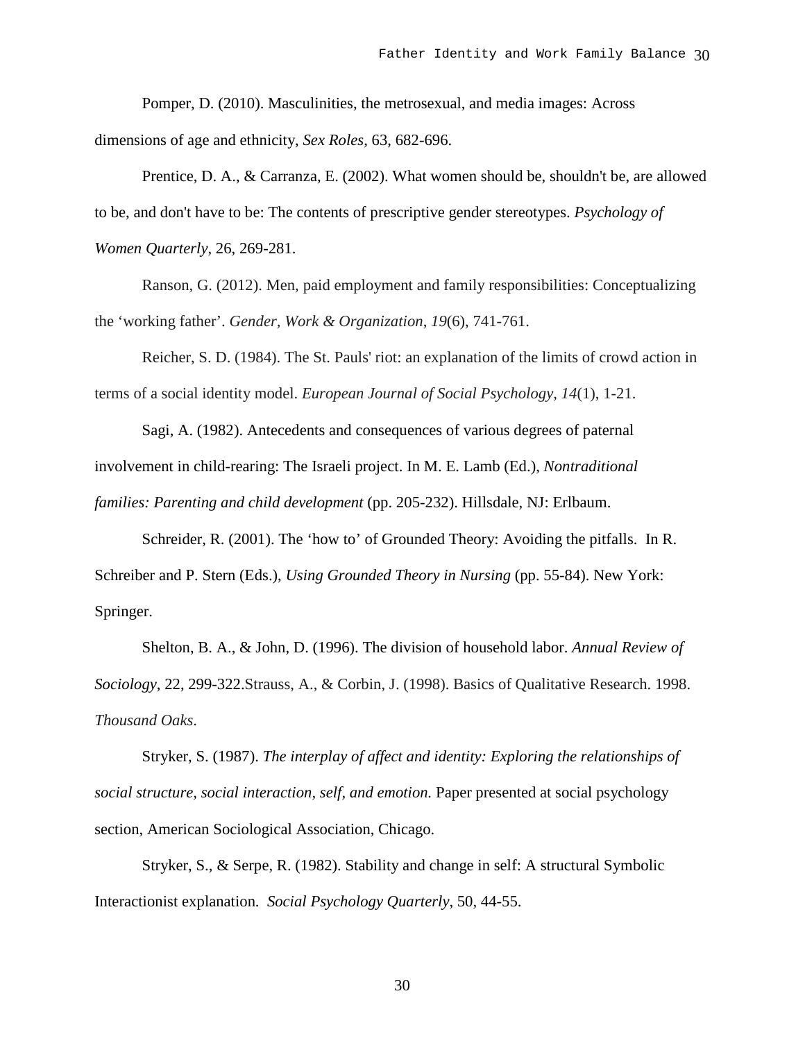Pomper, D. (2010). Masculinities, the metrosexual, and media images: Across dimensions of age and ethnicity, *Sex Roles*, 63, 682-696.

Prentice, D. A., & Carranza, E. (2002). What women should be, shouldn't be, are allowed to be, and don't have to be: The contents of prescriptive gender stereotypes. *Psychology of Women Quarterly*, 26, 269-281.

Ranson, G. (2012). Men, paid employment and family responsibilities: Conceptualizing the 'working father'. *Gender, Work & Organization*, *19*(6), 741-761.

Reicher, S. D. (1984). The St. Pauls' riot: an explanation of the limits of crowd action in terms of a social identity model. *European Journal of Social Psychology*, *14*(1), 1-21.

Sagi, A. (1982). Antecedents and consequences of various degrees of paternal involvement in child-rearing: The Israeli project. In M. E. Lamb (Ed.), *Nontraditional families: Parenting and child development* (pp. 205-232). Hillsdale, NJ: Erlbaum.

Schreider, R. (2001). The 'how to' of Grounded Theory: Avoiding the pitfalls. In R. Schreiber and P. Stern (Eds.), *Using Grounded Theory in Nursing* (pp. 55-84). New York: Springer.

Shelton, B. A., & John, D. (1996). The division of household labor. *Annual Review of Sociology*, 22, 299-322.Strauss, A., & Corbin, J. (1998). Basics of Qualitative Research. 1998. *Thousand Oaks*.

Stryker, S. (1987). *The interplay of affect and identity: Exploring the relationships of social structure, social interaction, self, and emotion.* Paper presented at social psychology section, American Sociological Association, Chicago.

Stryker, S., & Serpe, R. (1982). Stability and change in self: A structural Symbolic Interactionist explanation. *Social Psychology Quarterly*, 50, 44-55.